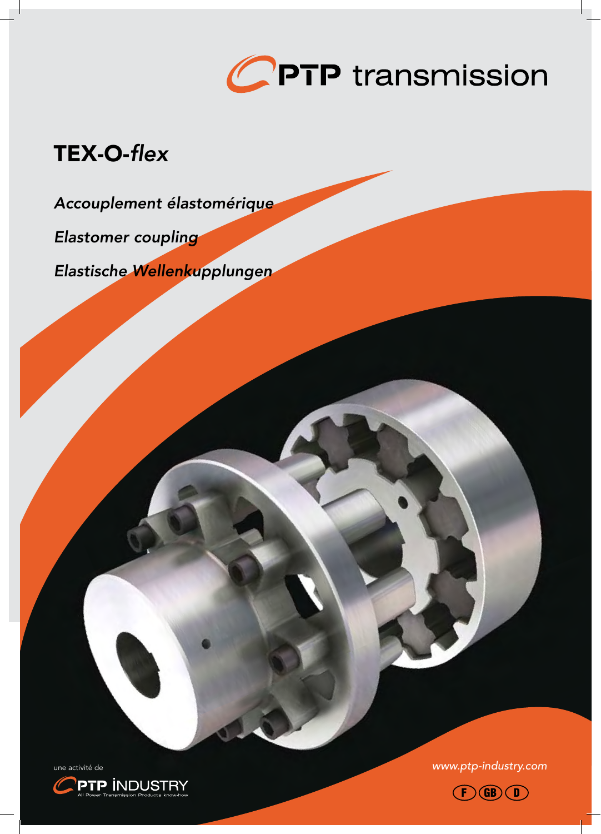

# TEX-O-*flex*

*Accouplement élastomérique*

*Elastomer coupling*

*Elastische Wellenkupplungen*

une activité de *www.ptp-industry.com*



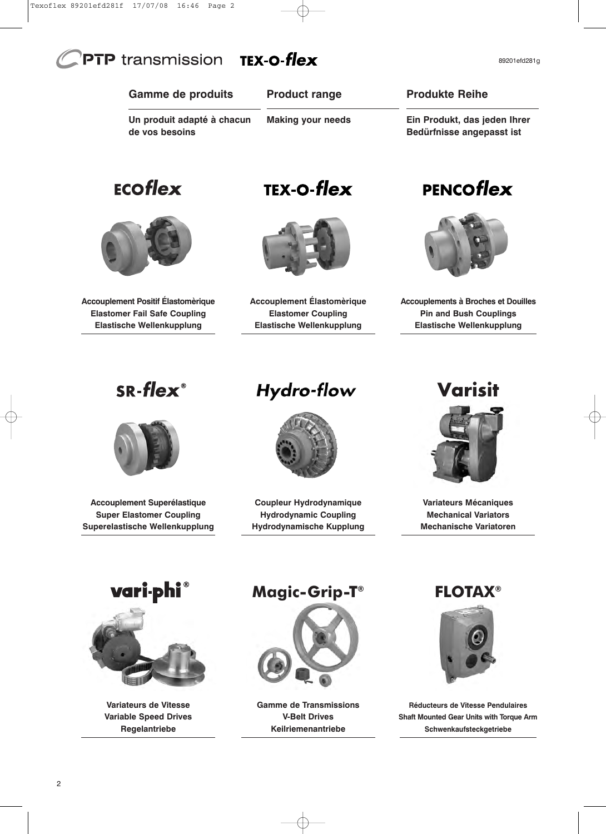| <b>Gamme de produits</b>                     | <b>Product range</b>     | <b>Produkte Reihe</b>                                     |
|----------------------------------------------|--------------------------|-----------------------------------------------------------|
| Un produit adapté à chacun<br>de vos besoins | <b>Making your needs</b> | Ein Produkt, das jeden Ihrer<br>Bedürfnisse angepasst ist |
| ECOflex                                      | $TEX$ -O-flex            | PENCOflex                                                 |



**Accouplement Positif Élastomèrique Elastomer Fail Safe Coupling Elastische Wellenkupplung**



**Accouplement Élastomèrique Elastomer Coupling Elastische Wellenkupplung**



**Accouplements à Broches et Douilles Pin and Bush Couplings Elastische Wellenkupplung**

SR-flex<sup>®</sup>



**Accouplement Superélastique Super Elastomer Coupling Superelastische Wellenkupplung**

# **Hydro-flow**



**Coupleur Hydrodynamique Hydrodynamic Coupling Hydrodynamische Kupplung**

# Varisit



**Variateurs Mécaniques Mechanical Variators Mechanische Variatoren**



**Variateurs de Vitesse Variable Speed Drives Regelantriebe**

# **Magic-Grip-T®**



**Gamme de Transmissions V-Belt Drives Keilriemenantriebe**



**Réducteurs de Vitesse Pendulaires Shaft Mounted Gear Units with Torque Arm Schwenkaufsteckgetriebe**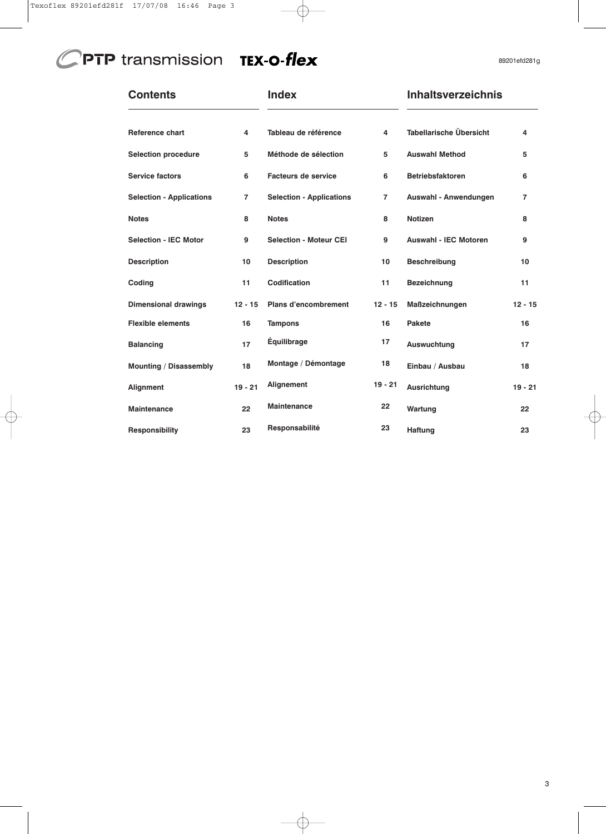| <b>Contents</b>                 |                | <b>Index</b>                    |                | <b>Inhaltsverzeichnis</b>    |                |
|---------------------------------|----------------|---------------------------------|----------------|------------------------------|----------------|
| Reference chart                 | 4              | Tableau de référence            | 4              | Tabellarische Übersicht      | 4              |
| <b>Selection procedure</b>      | 5              | Méthode de sélection            | 5              | <b>Auswahl Method</b>        | 5              |
| <b>Service factors</b>          | 6              | <b>Facteurs de service</b>      | 6              | <b>Betriebsfaktoren</b>      | 6              |
| <b>Selection - Applications</b> | $\overline{7}$ | <b>Selection - Applications</b> | $\overline{7}$ | Auswahl - Anwendungen        | $\overline{7}$ |
| <b>Notes</b>                    | 8              | <b>Notes</b>                    | 8              | <b>Notizen</b>               | 8              |
| <b>Selection - IEC Motor</b>    | 9              | <b>Selection - Moteur CEI</b>   | 9              | <b>Auswahl - IEC Motoren</b> | 9              |
| <b>Description</b>              | 10             | <b>Description</b>              | 10             | <b>Beschreibung</b>          | 10             |
| Coding                          | 11             | <b>Codification</b>             | 11             | <b>Bezeichnung</b>           | 11             |
| <b>Dimensional drawings</b>     | $12 - 15$      | Plans d'encombrement            | $12 - 15$      | Maßzeichnungen               | $12 - 15$      |
| <b>Flexible elements</b>        | 16             | <b>Tampons</b>                  | 16             | <b>Pakete</b>                | 16             |
| <b>Balancing</b>                | 17             | <b>Équilibrage</b>              | 17             | Auswuchtung                  | 17             |
| <b>Mounting / Disassembly</b>   | 18             | Montage / Démontage             | 18             | Einbau / Ausbau              | 18             |
| Alignment                       | $19 - 21$      | Alignement                      | $19 - 21$      | <b>Ausrichtung</b>           | $19 - 21$      |
| <b>Maintenance</b>              | 22             | Maintenance                     | 22             | Wartung                      | 22             |
| <b>Responsibility</b>           | 23             | Responsabilité                  | 23             | <b>Haftung</b>               | 23             |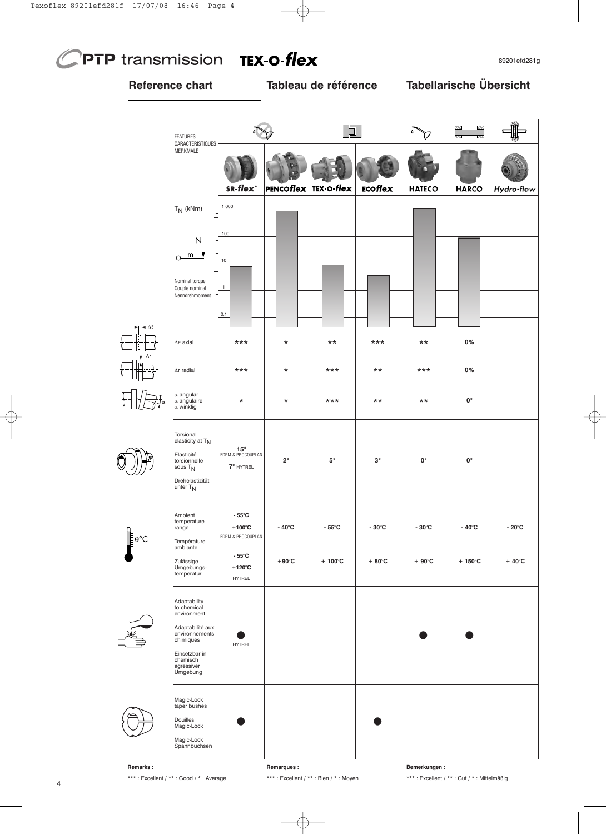# **Reference chart Tableau de référence Tabellarische Übersicht**

|             | <b>FEATURES</b><br>CARACTÉRISTIQUES                                                                                                                  |                                                                                                 |                                    |                                     |                                    | ٥                                  |                                     |                                    |
|-------------|------------------------------------------------------------------------------------------------------------------------------------------------------|-------------------------------------------------------------------------------------------------|------------------------------------|-------------------------------------|------------------------------------|------------------------------------|-------------------------------------|------------------------------------|
|             | MERKMALE                                                                                                                                             | SR-flex <sup>®</sup>                                                                            | PENCOflex                          | TEX-O-flex                          | ECOflex                            | <b>HATECO</b>                      | <b>HARCO</b>                        | Hydro-flow                         |
|             | $T_N$ (kNm)                                                                                                                                          | 1 000                                                                                           |                                    |                                     |                                    |                                    |                                     |                                    |
|             | N                                                                                                                                                    | 100                                                                                             |                                    |                                     |                                    |                                    |                                     |                                    |
|             | $O$ $\frac{m}{2}$<br>Nominal torque                                                                                                                  | 10                                                                                              |                                    |                                     |                                    |                                    |                                     |                                    |
|             | Couple nominal<br>Nenndrehmoment _                                                                                                                   | $\mathbf{1}$<br>0,1                                                                             |                                    |                                     |                                    |                                    |                                     |                                    |
| $+\Delta E$ | $\Delta E$ axial                                                                                                                                     | $***$                                                                                           | $^\star$                           | $***$                               | ***                                | $***$                              | 0%                                  |                                    |
|             | $\Delta r$ radial                                                                                                                                    | ***                                                                                             | $^\star$                           | ***                                 | $***$                              | $***$                              | 0%                                  |                                    |
|             | $\alpha$ angular<br>$\alpha$ angulaire<br>$\alpha$ winklig                                                                                           | $^\star$                                                                                        | $^\star$                           | ***                                 | $***$                              | $***$                              | $\mathbf{0}^\circ$                  |                                    |
|             | Torsional<br>elasticity at T <sub>N</sub><br>Elasticité<br>torsionnelle<br>sous T <sub>N</sub><br>Drehelastizität<br>unter $T_N$                     | $15^{\circ}$<br>EDPM & PROCOUPLAN<br>7° HYTREL                                                  | $2^{\circ}$                        | $5^{\circ}$                         | $3^\circ$                          | $\mathbf{0}^\circ$                 | $\mathbf{0}^\circ$                  |                                    |
| $\theta$ °C | Ambient<br>temperature<br>range<br>Température<br>ambiante<br>Zulässige<br>Umgebungs-<br>temperatur                                                  | $-55^{\circ}$ C<br>$+100^{\circ}$ C<br>EDPM & PROCOUPLAN<br>$-55^{\circ}$ C<br>$+120^{\circ}$ C | $-40^{\circ}$ C<br>$+90^{\circ}$ C | $-55^{\circ}$ C<br>$+100^{\circ}$ C | $-30^{\circ}$ C<br>$+80^{\circ}$ C | $-30^{\circ}$ C<br>$+90^{\circ}$ C | $-40^{\circ}$ C<br>$+150^{\circ}$ C | $-20^{\circ}$ C<br>$+40^{\circ}$ C |
|             | Adaptability<br>to chemical<br>environment<br>Adaptabilité aux<br>environnements<br>chimiques<br>Einsetzbar in<br>chemisch<br>agressiver<br>Umgebung | <b>HYTREL</b><br><b>HYTREL</b>                                                                  |                                    |                                     |                                    |                                    |                                     |                                    |
|             | Magic-Lock<br>taper bushes<br>Douilles<br>Magic-Lock<br>Magic-Lock<br>Spannbuchsen                                                                   |                                                                                                 |                                    |                                     |                                    |                                    |                                     |                                    |
| Remarks:    |                                                                                                                                                      |                                                                                                 | Remarques:                         |                                     |                                    | Bemerkungen:                       |                                     |                                    |

\*\*\* : Excellent / \*\* : Good / \* : Average

**Remarques :** \*\*\* : Excellent / \*\* : Bien / \* : Moyen

**Bemerkungen :** \*\*\* : Excellent / \*\* : Gut / \* : Mittelmäßig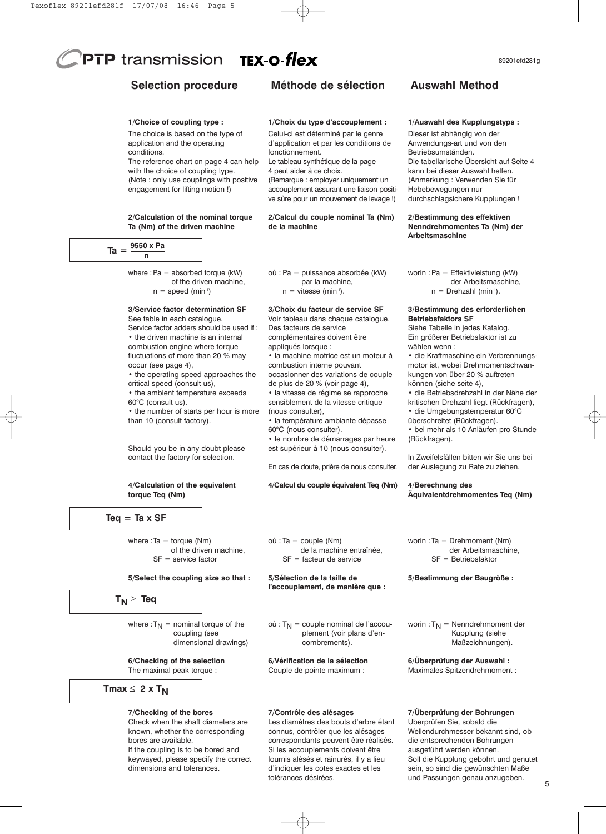## **Selection procedure**

**1/Choice of coupling type :** The choice is based on the type of application and the operating

The reference chart on page 4 can help with the choice of coupling type. (Note : only use couplings with positive engagement for lifting motion !)

**2/Calculation of the nominal torque Ta (Nm) of the driven machine**

# **Méthode de sélection**

### **1/Choix du type d'accouplement :**

Celui-ci est déterminé par le genre d'application et par les conditions de fonctionnement.

Le tableau synthétique de la page 4 peut aider à ce choix.

(Remarque : employer uniquement un accouplement assurant une liaison positive sûre pour un mouvement de levage !)

### **2/Calcul du couple nominal Ta (Nm) de la machine**

 $Ta = \frac{9550 \times Pa}{2}$ **n**

conditions.

where  $Pa =$  absorbed torque (kW) of the driven machine,  $n = speed (min<sup>-1</sup>)$ 

### **3/Service factor determination SF**

See table in each catalogue. Service factor adders should be used if : • the driven machine is an internal combustion engine where torque fluctuations of more than 20 % may occur (see page 4),

• the operating speed approaches the critical speed (consult us), • the ambient temperature exceeds

60°C (consult us). • the number of starts per hour is more than 10 (consult factory).

Should you be in any doubt please contact the factory for selection.

### **4/Calculation of the equivalent torque Teq (Nm)**

**Teq = Ta x SF**

where  $:Ta = torque (Nm)$ of the driven machine, SF = service factor

### **5/Select the coupling size so that :**

## $T_N \geq Teq$

where : $T_N$  = nominal torque of the coupling (see dimensional drawings)

**6/Checking of the selection** The maximal peak torque :

$$
Tmax \leq 2 \times T_N
$$

### **7/Checking of the bores**

Check when the shaft diameters are known, whether the corresponding bores are available. If the coupling is to be bored and keywayed, please specify the correct dimensions and tolerances.

où : Pa = puissance absorbée (kW) par la machine,  $n =$  vitesse (min-1).

### **3/Choix du facteur de service SF**

Voir tableau dans chaque catalogue. Des facteurs de service complémentaires doivent être appliqués lorsque :

• la machine motrice est un moteur à combustion interne pouvant

occasionner des variations de couple de plus de 20 % (voir page 4), • la vitesse de régime se rapproche sensiblement de la vitesse critique

(nous consulter), • la température ambiante dépasse

60°C (nous consulter).

• le nombre de démarrages par heure est supérieur à 10 (nous consulter).

En cas de doute, prière de nous consulter.

**4/Calcul du couple équivalent Teq (Nm)**

### **1/Auswahl des Kupplungstyps :**

**Auswahl Method**

Dieser ist abhängig von der Anwendungs-art und von den Betriebsumständen. Die tabellarische Übersicht auf Seite 4 kann bei dieser Auswahl helfen. (Anmerkung : Verwenden Sie für Hebebewegungen nur durchschlagsichere Kupplungen !

### **2/Bestimmung des effektiven Nenndrehmomentes Ta (Nm) der Arbeitsmaschine**

worin : Pa = Effektivleistung (kW) der Arbeitsmaschine,  $n =$  Drehzahl (min-1).

### **3/Bestimmung des erforderlichen Betriebsfaktors SF**

Siehe Tabelle in jedes Katalog. Ein größerer Betriebsfaktor ist zu wählen wenn :

• die Kraftmaschine ein Verbrennungsmotor ist, wobei Drehmomentschwankungen von über 20 % auftreten können (siehe seite 4),

• die Betriebsdrehzahl in der Nähe der kritischen Drehzahl liegt (Rückfragen),

• die Umgebungstemperatur 60°C überschreitet (Rückfragen).

• bei mehr als 10 Anläufen pro Stunde (Rückfragen).

In Zweifelsfällen bitten wir Sie uns bei der Auslegung zu Rate zu ziehen.

**4/Berechnung des Äquivalentdrehmomentes Teq (Nm)**

où : Ta = couple (Nm) de la machine entraînée, SF = facteur de service

**5/Sélection de la taille de l'accouplement, de manière que :**

 $où: T_N = \text{couple nominal de l'accou-}$ plement (voir plans d'encombrements).

**6/Vérification de la sélection** Couple de pointe maximum :

### **7/Contrôle des alésages**

Les diamètres des bouts d'arbre étant connus, contrôler que les alésages correspondants peuvent être réalisés. Si les accouplements doivent être fournis alésés et rainurés, il y a lieu d'indiquer les cotes exactes et les tolérances désirées.

worin : Ta = Drehmoment (Nm) der Arbeitsmaschine, SF = Betriebsfaktor

**5/Bestimmung der Baugröße :**

worin :  $T_N$  = Nenndrehmoment der Kupplung (siehe Maßzeichnungen).

**6/Überprüfung der Auswahl :** Maximales Spitzendrehmoment :

### **7/Überprüfung der Bohrungen**

Überprüfen Sie, sobald die Wellendurchmesser bekannt sind, ob die entsprechenden Bohrungen ausgeführt werden können. Soll die Kupplung gebohrt und genutet sein, so sind die gewünschten Maße und Passungen genau anzugeben.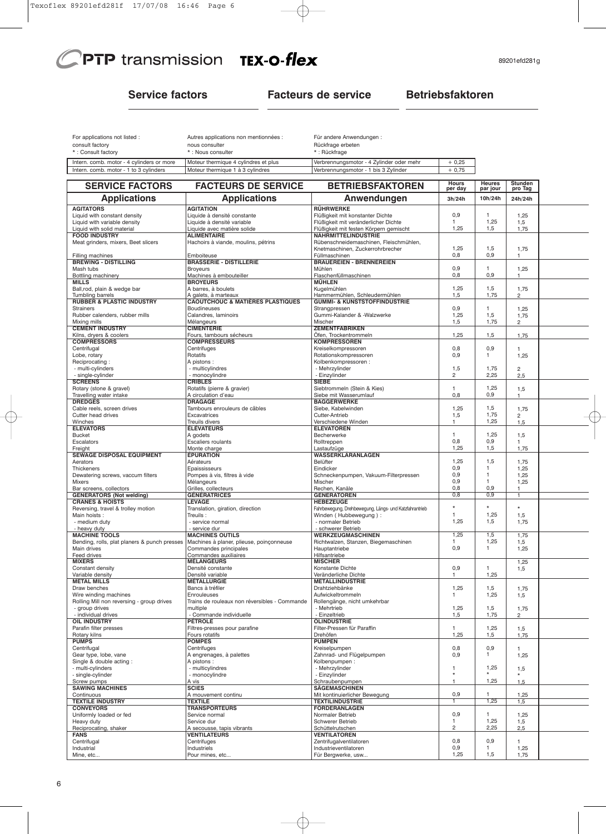# **Service factors Facteurs de service Betriebsfaktoren**

 $+ 0,25$ <br> $+ 0,75$ 

| For applications not listed :             | Autres applications non mentionnées : | Für andere Anwendungen:                  |
|-------------------------------------------|---------------------------------------|------------------------------------------|
| consult factory                           | nous consulter                        | Rückfrage erbeten                        |
| *: Consult factory                        | *: Nous consulter                     | * : Rückfrage                            |
| Intern. comb. motor - 4 cylinders or more | Moteur thermique 4 cylindres et plus  | Verbrennungsmotor - 4 Zylinder oder mehr |
| Intern. comb. motor - 1 to 3 cylinders    | Moteur thermique 1 à 3 cylindres      | Verbrennungsmotor - 1 bis 3 Zylinder     |

| <b>SERVICE FACTORS</b>                                     | <b>FACTEURS DE SERVICE</b>                      | <b>BETRIEBSFAKTOREN</b>                                                    | Hours<br>per day    | <b>Heures</b><br>par jour | Stunden<br>pro Tag           |  |
|------------------------------------------------------------|-------------------------------------------------|----------------------------------------------------------------------------|---------------------|---------------------------|------------------------------|--|
| <b>Applications</b>                                        | <b>Applications</b>                             | Anwendungen                                                                | 3h/24h              | 10h/24h                   | 24h/24h                      |  |
| <b>AGITATORS</b>                                           | <b>AGITATION</b>                                | RÜHRWERKE                                                                  |                     |                           |                              |  |
| Liquid with constant density                               | Liquide à densité constante                     | Flüßigkeit mit konstanter Dichte                                           | 0,9                 | 1                         | 1,25                         |  |
| Liquid with variable density                               | Liquide à densité variable                      | Flüßigkeit mit veränderlicher Dichte                                       | $\mathbf{1}$        | 1,25                      | 1,5                          |  |
| Liquid with solid material                                 | Liquide avec matière solide                     | Flüßigkeit mit festen Körpern gemischt                                     | 1,25                | 1,5                       | 1,75                         |  |
| <b>FOOD INDUSTRY</b>                                       | <b>ALIMENTAIRE</b>                              | NÄHRMITTELINDUSTRIE                                                        |                     |                           |                              |  |
| Meat grinders, mixers, Beet slicers                        | Hachoirs à viande, moulins, pétrins             | Rübenschneidemaschinen, Fleischmühlen,<br>Knetmaschinen, Zuckerrohrbrecher | 1,25                | 1,5                       | 1,75                         |  |
| Filling machines                                           | Emboiteuse                                      | Füllmaschinen                                                              | 0,8                 | 0,9                       | $\mathbf{1}$                 |  |
| <b>BREWING - DISTILLING</b>                                | <b>BRASSERIE - DISTILLERIE</b>                  | <b>BRAUEREIEN - BRENNEREIEN</b>                                            |                     |                           |                              |  |
| Mash tubs                                                  | <b>Broveurs</b>                                 | Mühlen                                                                     | 0,9                 | 1                         | 1,25                         |  |
| Bottling machinery                                         | Machines à embouteiller                         | Flaschenfüllmaschinen                                                      | 0,8                 | 0,9                       | $\mathbf{1}$                 |  |
| <b>MILLS</b><br>Ball, rod, plain & wedge bar               | <b>BROYEURS</b><br>A barres, à boulets          | <b>MÜHLEN</b><br>Kugelmühlen                                               | 1,25                | 1,5                       | 1,75                         |  |
| Tumbling barrels                                           | A galets, à marteaux                            | Hammermühlen, Schleudermühlen                                              | 1,5                 | 1,75                      | $\overline{c}$               |  |
| <b>RUBBER &amp; PLASTIC INDUSTRY</b>                       | <b>CAOUTCHOUC &amp; MATIÈRES PLASTIQUES</b>     | <b>GUMMI- &amp; KUNSTSTOFFINDUSTRIE</b>                                    |                     |                           |                              |  |
| <b>Strainers</b>                                           | <b>Boudineuses</b>                              | Strangpressen                                                              | 0,9                 | $\mathbf{1}$              | 1,25                         |  |
| Rubber calenders, rubber mills                             | Calandres, laminoirs                            | Gummi-Kalander & -Walzwerke                                                | 1,25                | 1,5<br>1,75               | 1,75                         |  |
| Mixing mills<br><b>CEMENT INDUSTRY</b>                     | Mélangeurs<br><b>CIMENTERIE</b>                 | Mischer<br><b>ZEMENTFABRIKEN</b>                                           | 1,5                 |                           | $\overline{2}$               |  |
| Kilns, dryers & coolers                                    | Fours, tambours sécheurs                        | Öfen, Trockentrommeln                                                      | 1,25                | 1,5                       | 1,75                         |  |
| <b>COMPRESSORS</b>                                         | <b>COMPRESSEURS</b>                             | <b>KOMPRESSOREN</b>                                                        |                     |                           |                              |  |
| Centrifugal                                                | Centrifuges                                     | Kreiselkompressoren                                                        | 0,8                 | 0,9                       | 1                            |  |
| Lobe, rotary                                               | Rotatifs                                        | Rotationskompressoren                                                      | 0,9                 | 1                         | 1,25                         |  |
| Reciprocating:<br>- multi-cylinders                        | A pistons:<br>- multicylindres                  | Kolbenkompressoren:<br>- Mehrzylinder                                      | 1,5                 | 1,75                      | $\overline{2}$               |  |
| - single-cylinder                                          | - monocylindre                                  | - Einzylinder                                                              | $\overline{c}$      | 2,25                      | 2,5                          |  |
| <b>SCREENS</b>                                             | <b>CRIBLES</b>                                  | <b>SIEBE</b>                                                               |                     |                           |                              |  |
| Rotary (stone & gravel)                                    | Rotatifs (pierre & gravier)                     | Siebtrommeln (Stein & Kies)                                                | $\mathbf{1}$        | 1,25                      | 1,5                          |  |
| Travelling water intake                                    | A circulation d'eau                             | Siebe mit Wasserumlauf                                                     | 0,8                 | 0,9                       | $\mathbf{1}$                 |  |
| <b>DREDGES</b><br>Cable reels, screen drives               | <b>DRAGAGE</b><br>Tambours enrouleurs de câbles | <b>BAGGERWERKE</b><br>Siebe, Kabelwinden                                   | 1,25                | 1,5                       |                              |  |
| Cutter head drives                                         | Excavatrices                                    | Cutter-Antrieb                                                             | 1,5                 | 1,75                      | 1,75<br>$\overline{2}$       |  |
| Winches                                                    | Treuils divers                                  | Verschiedene Winden                                                        | $\mathbf{1}$        | 1,25                      | 1,5                          |  |
| <b>ELEVATORS</b>                                           | <b>ÉLÉVATEURS</b>                               | <b>ELEVATOREN</b>                                                          |                     |                           |                              |  |
| <b>Bucket</b>                                              | A godets                                        | Becherwerke                                                                | $\mathbf{1}$        | 1,25                      | 1,5                          |  |
| Escalators                                                 | <b>Escaliers roulants</b><br>Monte charge       | Rolltreppen                                                                | 0,8<br>1,25         | 0,9<br>1,5                | $\mathbf{1}$                 |  |
| Freight<br>SEWAGE DISPOSAL EQUIPMENT                       | <b>ÉPURATION</b>                                | Lastaufzüge<br>WASSERKLÄRANLAGEN                                           |                     |                           | 1,75                         |  |
| Aerators                                                   | Aérateurs                                       | Belüfter                                                                   | 1,25                | 1,5                       | 1,75                         |  |
| <b>Thickeners</b>                                          | Epaississeurs                                   | Eindicker                                                                  | 0,9                 | $\mathbf{1}$              | 1,25                         |  |
| Dewatering screws, vaccum filters                          | Pompes à vis, filtres à vide                    | Schneckenpumpen, Vakuum-Filterpressen                                      | 0,9                 | $\mathbf{1}$              | 1,25                         |  |
| Mixers                                                     | Mélangeurs                                      | Mischer                                                                    | 0,9<br>0,8          | 1<br>0,9                  | 1,25                         |  |
| Bar screens, collectors<br><b>GENERATORS (Not welding)</b> | Grilles, collecteurs<br><b>GÉNÉRATRICES</b>     | Rechen, Kanäle<br><b>GENERATOREN</b>                                       | 0,8                 | 0,9                       | $\mathbf{1}$<br>$\mathbf{1}$ |  |
| <b>CRANES &amp; HOISTS</b>                                 | <b>LEVAGE</b>                                   | <b>HEBEZEUGE</b>                                                           |                     |                           |                              |  |
| Reversing, travel & trolley motion                         | Translation, giration, direction                | Fahrbewegung, Drehbewegung, Längs- und Katzfahrantrieb                     |                     |                           | $\star$                      |  |
| Main hoists:                                               | Treuils:                                        | Winden (Hubbewegung):                                                      | 1                   | 1,25                      | 1,5                          |  |
| - medium duty                                              | - service normal                                | - normaler Betrieb                                                         | 1,25                | 1,5                       | 1,75                         |  |
| - heavy duty<br><b>MACHINE TOOLS</b>                       | - service dur<br><b>MACHINES OUTILS</b>         | - schwerer Betrieb<br>WERKZEUGMASCHINEN                                    | 1,25                | 1,5                       | 1,75                         |  |
| Bending, rolls, plat planers & punch presses               | Machines à planer, plieuse, poinçonneuse        | Richtwalzen, Stanzen, Biegemaschinen                                       | $\mathbf{1}$        | 1,25                      | 1,5                          |  |
| Main drives                                                | Commandes principales                           | Hauptantriebe                                                              | 0,9                 | $\mathbf{1}$              | 1,25                         |  |
| Feed drives                                                | Commandes auxiliaires                           | Hilfsantriebe                                                              |                     |                           |                              |  |
| <b>MIXERS</b>                                              | <b>MÉLANGEURS</b>                               | <b>MISCHER</b>                                                             |                     |                           | 1,25                         |  |
| Constant density<br>Variable density                       | Densité constante<br>Densité variable           | Konstante Dichte<br>Veränderliche Dichte                                   | 0,9<br>$\mathbf{1}$ | 1<br>1,25                 | 1,5                          |  |
| <b>METAL MILLS</b>                                         | <b>MÉTALLURGIE</b>                              | <b>METALLINDUSTRIE</b>                                                     |                     |                           |                              |  |
| Draw benches                                               | Bancs à tréfiler                                | Drahtziehbänke                                                             | 1,25                | 1,5                       | 1,75                         |  |
| Wire winding machines                                      | Enrouleuses                                     | Aufwickeltrommeln                                                          | 1                   | 1,25                      | 1,5                          |  |
| Rolling Mill non reversing - group drives                  | Trains de rouleaux non réversibles - Commande   | Rollengänge, nicht umkehrbar                                               |                     |                           |                              |  |
| - group drives<br>- individual drives                      | multiple<br>- Commande individuelle             | - Mehrtrieb<br>- Einzeltrieb                                               | 1,25<br>1,5         | 1,5<br>1,75               | 1,75<br>2                    |  |
| <b>OIL INDUSTRY</b>                                        | <b>PÉTROLE</b>                                  | ÖLINDUSTRIE                                                                |                     |                           |                              |  |
| Parafin filter presses                                     | Filtres-presses pour parafine                   | Filter-Pressen für Paraffin                                                | 1                   | 1,25                      | 1,5                          |  |
| Rotary kilns                                               | Fours rotatifs                                  | Drehöfen                                                                   | 1,25                | 1,5                       | 1,75                         |  |
| <b>PUMPS</b>                                               | <b>POMPES</b>                                   | <b>PUMPEN</b>                                                              |                     |                           |                              |  |
| Centrifugal<br>Gear type, lobe, vane                       | Centrifuges<br>A engrenages, à palettes         | Kreiselpumpen<br>Zahnrad- und Flügelpumpen                                 | 0,8<br>0,9          | 0,9<br>$\mathbf{1}$       | 1<br>1,25                    |  |
| Single & double acting:                                    | A pistons:                                      | Kolbenpumpen:                                                              |                     |                           |                              |  |
| - multi-cylinders                                          | - multicylindres                                | - Mehrzylinder                                                             | 1                   | 1,25                      | 1,5                          |  |
| - single-cylinder                                          | - monocylindre                                  | - Einzylinder                                                              |                     |                           |                              |  |
| Screw pumps                                                | A vis                                           | Schraubenpumpen                                                            | $\mathbf{1}$        | 1,25                      | 1,5                          |  |
| <b>SAWING MACHINES</b><br>Continuous                       | <b>SCIES</b><br>A mouvement continu             | <b>SÄGEMASCHINEN</b><br>Mit kontinuierlicher Bewegung                      | 0,9                 | 1                         |                              |  |
| <b>TEXTILE INDUSTRY</b>                                    | <b>TEXTILE</b>                                  | <b>TEXTILINDUSTRIE</b>                                                     | $\mathbf{1}$        | 1,25                      | 1,25<br>1,5                  |  |
| <b>CONVEYORS</b>                                           | <b>TRANSPORTEURS</b>                            | <b>FÖRDERANLAGEN</b>                                                       |                     |                           |                              |  |
| Uniformly loaded or fed                                    | Service normal                                  | Normaler Betrieb                                                           | 0,9                 | 1                         | 1,25                         |  |
| Heavy duty                                                 | Service dur                                     | Schwerer Betrieb                                                           | 1                   | 1,25                      | 1,5                          |  |
| Reciprocating, shaker                                      | A secousse, tapis vibrants                      | Schüttelrutschen                                                           | $\overline{c}$      | 2,25                      | 2,5                          |  |
| <b>FANS</b><br>Centrifugal                                 | <b>VENTILATEURS</b><br>Centrifuges              | <b>VENTILATOREN</b><br>Zentrifugalventilatoren                             | 0,8                 | 0,9                       | $\mathbf{1}$                 |  |
| Industrial                                                 | Industriels                                     | Industrieventilatoren                                                      | 0,9                 | 1                         | 1,25                         |  |
| Mine, etc                                                  | Pour mines, etc                                 | Für Bergwerke, usw                                                         | 1,25                | 1,5                       | 1,75                         |  |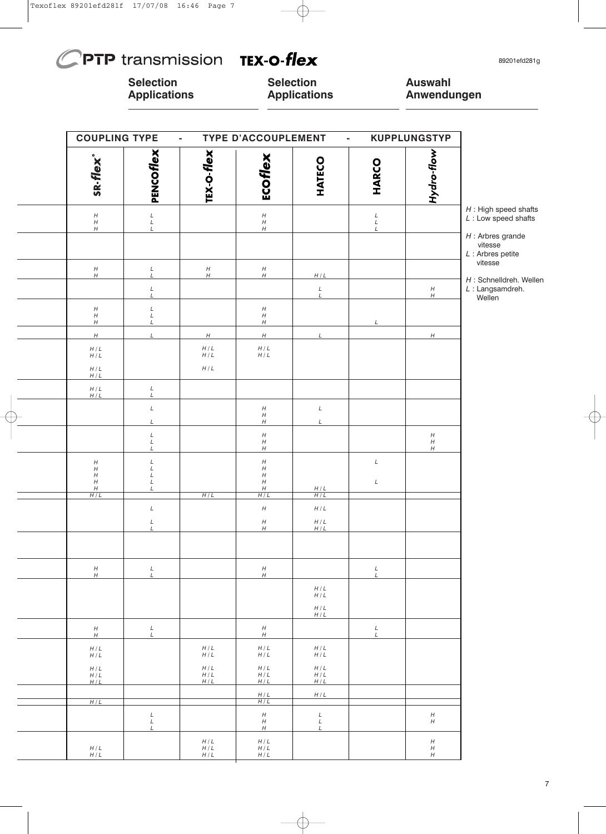**Selection Applications** **Selection Applications**

# **Auswahl Anwendungen**

| <b>COUPLING TYPE</b>                                                              | $\blacksquare$                                       |                     | <b>TYPE D'ACCOUPLEMENT</b>                                   | $\blacksquare$                            |                      | <b>KUPPLUNGSTYP</b>                                      |                                                       |
|-----------------------------------------------------------------------------------|------------------------------------------------------|---------------------|--------------------------------------------------------------|-------------------------------------------|----------------------|----------------------------------------------------------|-------------------------------------------------------|
| <b>SR-flex</b>                                                                    | <b>PENCOffex</b>                                     | TEX-O-flex          | ECOflex                                                      | HATECO                                    | <b>HARCO</b>         | Hydro-flow                                               |                                                       |
| $\boldsymbol{H}$<br>$\boldsymbol{H}$                                              | $_L^L$                                               |                     | $\begin{array}{c} H \\ H \\ H \end{array}$                   |                                           | $_L^L$               |                                                          | $H$ : High speed shafts<br>$L:$ Low speed shafts      |
| $\boldsymbol{H}$                                                                  | L                                                    |                     |                                                              |                                           | L                    |                                                          | $H$ : Arbres grande<br>vitesse<br>$L$ : Arbres petite |
| $_{H}^{\prime}$                                                                   | $_L^L$                                               | $_H^H$              | $_H^H$                                                       | H/L                                       |                      |                                                          | vitesse<br>H : Schnelldreh. Wellen                    |
|                                                                                   | $_L^L$                                               |                     |                                                              | $L \over L$                               |                      | $_H^H$                                                   | $L$ : Langsamdreh.<br>Wellen                          |
| $\boldsymbol{H}$<br>$\boldsymbol{H}$<br>$\boldsymbol{H}$                          | $\begin{array}{c} L \\ L \\ L \end{array}$           |                     | $\boldsymbol{H}$<br>$\boldsymbol{H}$<br>$\boldsymbol{H}$     |                                           | L                    |                                                          |                                                       |
| $\boldsymbol{H}$                                                                  | L                                                    | $\boldsymbol{H}$    | $\boldsymbol{H}$                                             | L                                         |                      | $\boldsymbol{H}$                                         |                                                       |
| $H/L$<br>$H/L$                                                                    |                                                      | $H/L$ $H/L$         | $H/L$<br>$H/L$                                               |                                           |                      |                                                          |                                                       |
| $H/L$<br>$H/L$                                                                    |                                                      | H/L                 |                                                              |                                           |                      |                                                          |                                                       |
| $\begin{array}{c} H/L \\ H/L \end{array}$                                         | $\frac{L}{L}$                                        |                     |                                                              |                                           |                      |                                                          |                                                       |
|                                                                                   | $\cal L$<br>L                                        |                     | $\boldsymbol{H}$<br>$^{\prime\prime}_{\prime\prime}$         | $\cal L$                                  |                      |                                                          |                                                       |
|                                                                                   | $_L^L$<br>$\cal L$                                   |                     | $\boldsymbol{H}$<br>H<br>$\boldsymbol{H}$                    |                                           |                      | $_H^H$<br>$\boldsymbol{H}$                               |                                                       |
| $\boldsymbol{H}$<br>$\boldsymbol{H}$<br>$\boldsymbol{H}$<br>$\boldsymbol{H}$<br>H | $\begin{array}{c} L \\ L \\ L \end{array}$<br>$_L^L$ |                     | $_{H}^{\prime}$<br>$\boldsymbol{H}$<br>$\boldsymbol{H}$<br>H | $\frac{H/L}{H/L}$                         | $\cal L$<br>$\cal L$ |                                                          |                                                       |
| H/L                                                                               | $\cal L$                                             | H/L                 | H/L<br>$\boldsymbol{H}$                                      | $H/L$                                     |                      |                                                          |                                                       |
|                                                                                   | $\frac{L}{L}$                                        |                     | $_{H}^{\prime}$                                              | $\begin{array}{c} H/L \\ H/L \end{array}$ |                      |                                                          |                                                       |
|                                                                                   |                                                      |                     |                                                              |                                           |                      |                                                          |                                                       |
| $\boldsymbol{H}$<br>H                                                             | $_L^L$                                               |                     | H<br>$\boldsymbol{H}$                                        |                                           | $_L^L$               |                                                          |                                                       |
|                                                                                   |                                                      |                     |                                                              | H/L<br>$H/L$                              |                      |                                                          |                                                       |
|                                                                                   |                                                      |                     |                                                              | H/L<br>H/L                                |                      |                                                          |                                                       |
| $\boldsymbol{H}$<br>$\boldsymbol{H}$                                              | $_L^L$                                               |                     | $\boldsymbol{H}$<br>$\boldsymbol{H}$                         |                                           | $_L^L$               |                                                          |                                                       |
| H/L<br>H/L                                                                        |                                                      | $H/L$<br>H/L        | $H/L$<br>H/L                                                 | H/L<br>H/L                                |                      |                                                          |                                                       |
| H/L<br>H/L<br>H/L                                                                 |                                                      | H/L<br>H/L<br>H/L   | H/L<br>H/L<br>H/L                                            | H/L<br>H/L<br>H/L                         |                      |                                                          |                                                       |
| H/L                                                                               |                                                      |                     | $H/L$<br>H/L                                                 | H/L                                       |                      |                                                          |                                                       |
|                                                                                   | $_L^L$<br>L                                          |                     | $\boldsymbol{H}$<br>$\boldsymbol{H}$<br>H                    | $_L^L$<br>$\mathcal{L}$                   |                      | $\boldsymbol{H}$<br>H                                    |                                                       |
| H/L<br>H/L                                                                        |                                                      | H/L<br>H/L<br>$H/L$ | H/L<br>H/L<br>$H/L$                                          |                                           |                      | $\boldsymbol{H}$<br>$\boldsymbol{H}$<br>$\boldsymbol{H}$ |                                                       |
|                                                                                   |                                                      |                     |                                                              |                                           |                      |                                                          |                                                       |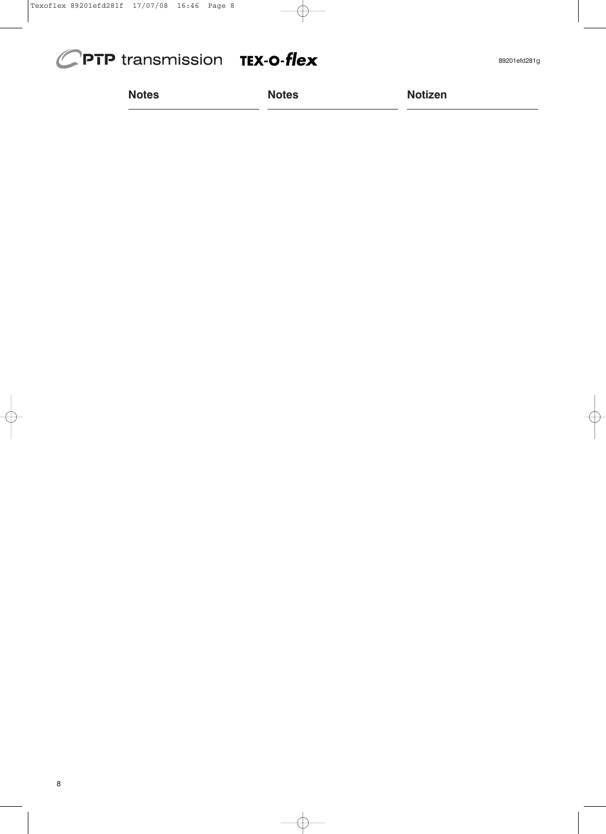| <b>Notes</b> | <b>Notes</b> | <b>Notizen</b> |
|--------------|--------------|----------------|
|              |              |                |

89201efd281g

8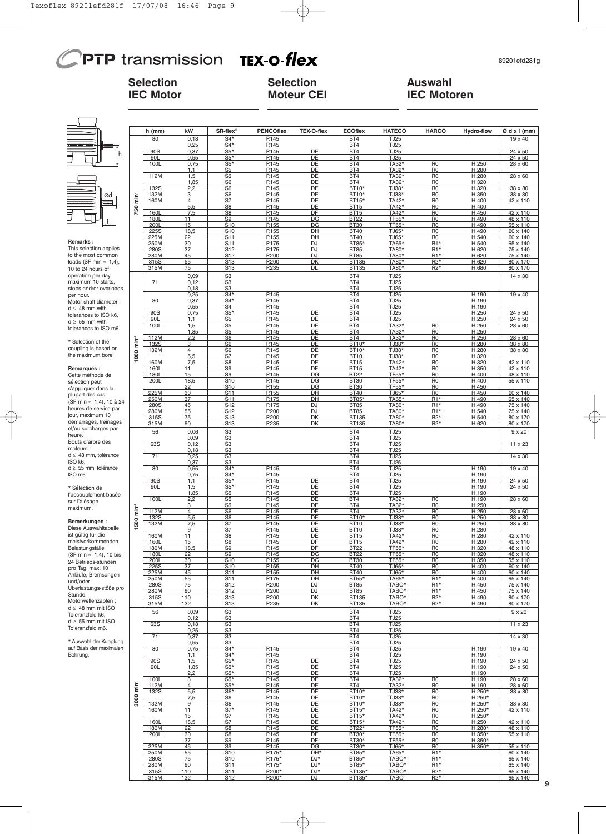# **PTP** transmission

# TEX-O-flex

# **Selection IEC Motor**

# **Selection Moteur CEI**

# **Auswahl IEC Motoren**

|                                                   |                           |              | kW                  | SR-flex®                           | <b>PENCOflex</b> | <b>TEX-O-flex</b> | <b>ECOflex</b>             | <b>HATECO</b>              | <b>HARCO</b>                     |                      |                           |
|---------------------------------------------------|---------------------------|--------------|---------------------|------------------------------------|------------------|-------------------|----------------------------|----------------------------|----------------------------------|----------------------|---------------------------|
|                                                   |                           | h (mm)<br>80 | 0,18                | $S4*$                              | P.145            |                   | BT4                        | TJ25                       |                                  | <b>Hydro-flow</b>    | $Ø$ d x l (mm)<br>19 x 40 |
|                                                   |                           |              | 0,25                | $S4*$                              | P.145            |                   | BT4                        | TJ25                       |                                  |                      |                           |
| h                                                 |                           | 90S          | 0,37                | $\overline{S5*}$                   | P.145            | DE                | BT4                        | TJ25                       |                                  |                      | 24 x 50                   |
|                                                   |                           | 90L<br>100L  | 0,55<br>0,75        | $S5*$<br>$S5*$                     | P.145<br>P.145   | DE<br>DE          | BT4<br>BT4                 | <b>TJ25</b><br>TA32*       | R <sub>0</sub>                   | H.250                | 24 x 50<br>28 x 60        |
|                                                   |                           |              | 1,1                 | S5                                 | P.145            | DE                | BT4                        | TA32*                      | R <sub>0</sub>                   | H.280                |                           |
|                                                   |                           | 112M         | 1,5                 | S <sub>5</sub>                     | P.145            | DE<br>DE          | BT4<br>BT4                 | TA32*                      | R <sub>0</sub>                   | H.280                | 28 x 60                   |
|                                                   |                           | 132S         | 1,85<br>2,2         | S <sub>6</sub><br>S6               | P.145<br>P.145   | DE                | BT10*                      | TA32*<br>TJ38*             | R <sub>0</sub><br>R <sub>0</sub> | H.320<br>H.320       | $\overline{38} \times 80$ |
| Ød                                                | $\overline{\mathsf{min}}$ | 132M         | 3                   | S <sub>6</sub>                     | P.145            | DE                | BT10*                      | TJ38*                      | R <sub>0</sub>                   | H.350                | 38 x 80                   |
|                                                   |                           | 160M         | 4<br>5,5            | S7<br>S8                           | P.145<br>P.145   | DE<br>DE          | BT15*<br><b>BT15</b>       | TA42*<br>TA42*             | R <sub>0</sub><br>R <sub>0</sub> | H.400<br>H.400       | 42 x 110                  |
|                                                   | 750                       | 160L         | 7,5                 | S8                                 | P.145            | DF                | <b>BT15</b>                | TA42*                      | R <sub>0</sub>                   | H.450                | 42 x 110                  |
|                                                   |                           | 180L         | 11                  | S <sub>9</sub>                     | P.145            | DG                | <b>BT22</b>                | TF55*                      | R <sub>0</sub>                   | H.490                | 48 x 110                  |
|                                                   |                           | 200L<br>225S | 15<br>18,5          | S <sub>10</sub><br>S <sub>10</sub> | P.155<br>P.155   | DG<br>DH          | <b>BT30</b><br><b>BT40</b> | TF55*<br>TJ65*             | R <sub>0</sub><br>R <sub>0</sub> | H.490<br>H.490       | 55 x 110<br>60 x 140      |
|                                                   |                           | 225M         | 22                  | S <sub>11</sub>                    | P.155            | DH                | <b>BT40</b>                | TJ65*                      | R <sub>0</sub>                   | H.540                | 60 x 140                  |
| Remarks:<br>This selection applies                |                           | 250M<br>280S | 30<br>37            | S11<br>S12                         | P.175<br>P.175   | DJ<br><b>DJ</b>   | BT85*<br><b>BT85</b>       | TA65*<br>TA80*             | R <sub>1</sub> *<br>R1*          | H.540<br>H.620       | 65 x 140<br>75 x 140      |
| to the most common                                |                           | 280M         | 45                  | S <sub>12</sub>                    | P.200            | <b>DJ</b>         | <b>BT85</b>                | TA80*                      | $R1*$                            | H.620                | 75 x 140                  |
| loads (SF min $\approx$ 1,4),                     |                           | 315S         | 55                  | S13                                | P.200            | DK                | BT135                      | TA80*                      | $R2*$                            | H.620                | 80 x 170                  |
| 10 to 24 hours of                                 |                           | 315M         | 75                  | S <sub>13</sub>                    | P.235            | DL                | BT135                      | TA80*                      | R <sub>2</sub> *                 | H.680                | 80 x 170                  |
| operation per day,<br>maximum 10 starts,          |                           | 71           | 0,09<br>0,12        | S <sub>3</sub><br>S <sub>3</sub>   |                  |                   | BT4<br>BT4                 | <b>TJ25</b><br><b>TJ25</b> |                                  |                      | 14 x 30                   |
| stops and/or overloads                            |                           |              | 0,18                | S3                                 |                  |                   | BT4                        | <b>TJ25</b>                |                                  |                      |                           |
| per hour.                                         |                           |              | 0,25                | $S4*$                              | P.145            |                   | BT4                        | <b>TJ25</b>                |                                  | H.190                | 19 x 40                   |
| Motor shaft diameter:<br>$d \leq 48$ mm with      |                           | 80           | 0,37<br>0,55        | $S4*$<br>S4                        | P.145<br>P.145   |                   | BT4<br>BT4                 | TJ25<br><b>TJ25</b>        |                                  | H.190<br>H.190       |                           |
| tolerances to ISO k6,                             |                           | 90S          | 0,75                | $S5*$                              | P.145            | DE                | BT4                        | <b>TJ25</b>                |                                  | H.250                | 24 x 50                   |
| $d \geq 55$ mm with                               |                           | 90L<br>100L  | 1,1<br>1,5          | <u>S5</u><br>S <sub>5</sub>        | P.145<br>P.145   | DE<br>DE          | BT4<br>BT4                 | <b>TJ25</b><br>TA32*       | R <sub>0</sub>                   | H.250<br>H.250       | 24 x 50<br>28 x 60        |
| tolerances to ISO m6.                             |                           |              | 1,85                | S <sub>5</sub>                     | P.145            | DE                | BT4                        | TA32*                      | R0                               | H.250                |                           |
| * Selection of the                                | $\overline{\mathsf{min}}$ | 112M         | 2,2                 | S <sub>6</sub>                     | P.145            | DE                | BT4                        | TA32*                      | R <sub>0</sub>                   | H.250                | 28 x 60                   |
| coupling is based on                              |                           | 132S<br>132M | 3<br>$\overline{4}$ | S6<br>S <sub>6</sub>               | P.145<br>P.145   | DE<br>DE          | BT10*<br>BT10*             | TJ38*<br>TJ38*             | R <sub>0</sub><br>R <sub>0</sub> | H.280<br>H.280       | 38 x 80<br>38 x 80        |
| the maximum bore.                                 | 1000                      |              | 5,5                 | S7                                 | P.145            | DE                | <b>BT10</b>                | TJ38*                      | R <sub>0</sub>                   | H.320                |                           |
|                                                   |                           | 160M         | 7,5                 | S8                                 | P.145            | DE<br>DF          | <b>BT15</b>                | TA42*                      | R <sub>0</sub>                   | H.320                | 42 x 110                  |
| Remarques :<br>Cette méthode de                   |                           | 160L<br>180L | 11<br>15            | S9<br>S9                           | P.145<br>P.145   | DG                | <b>BT15</b><br><b>BT22</b> | TA42*<br>TF55*             | R <sub>0</sub><br>R <sub>0</sub> | H.350<br>H.400       | 42 x 110<br>48 x 110      |
| sélection peut                                    |                           | 200L         | 18,5                | S <sub>10</sub>                    | P.145            | DG                | <b>BT30</b>                | TF55*                      | R <sub>0</sub>                   | H.400                | 55 x 110                  |
| s'appliquer dans la                               |                           | 225M         | 22<br>30            | S <sub>10</sub><br>S <sub>11</sub> | P.155<br>P.155   | DG<br>DH          | <b>BT30</b><br><b>BT40</b> | TF55*<br>TJ65*             | R <sub>0</sub><br>R <sub>0</sub> | H'450<br>H.450       | 60 x 140                  |
| plupart des cas<br>(SF min ≈ 1,4), 10 à 24        |                           | 250M         | 37                  | S <sub>11</sub>                    | P.175            | DH                | BT85*                      | TA65*                      | R <sub>1</sub> *                 | H.490                | 65 x 140                  |
| heures de service par                             |                           | 280S         | 45                  | S <sub>12</sub>                    | P.175            | DJ                | <b>BT85</b>                | TA80*                      | R1*                              | H.490                | 75 x 140                  |
| jour, maximum 10                                  |                           | 280M<br>315S | 55<br>75            | S <sub>12</sub><br>S <sub>13</sub> | P.200<br>P.200   | DJ<br>DK          | <b>BT85</b><br>BT135       | TA80*<br>TA80*             | $R1*$<br>R2*                     | H.540<br>H.540       | 75 x 140<br>80 x 170      |
| démarrages, freinages                             |                           | 315M         | 90                  | S <sub>13</sub>                    | P.235            | DK                | BT135                      | TA80*                      | R <sub>2</sub> *                 | H.620                | 80 x 170                  |
| et/ou surcharges par<br>heure.                    |                           | 56           | 0,06                | S3                                 |                  |                   | BT4                        | <b>TJ25</b>                |                                  |                      | $9 \times 20$             |
| Bouts d'arbre des                                 |                           | 63S          | 0,09<br>0,12        | S3<br>S <sub>3</sub>               |                  |                   | BT4<br>BT4                 | <b>TJ25</b><br><b>TJ25</b> |                                  |                      | 11 x 23                   |
| moteurs :                                         |                           |              | 0,18                | S3                                 |                  |                   | BT4                        | TJ25                       |                                  |                      |                           |
| $d \leq 48$ mm, tolérance                         |                           | 71           | 0,25                | S3                                 |                  |                   | BT4                        | <b>TJ25</b>                |                                  |                      | 14 x 30                   |
| ISO k6.<br>$d \geq 55$ mm, tolérance              |                           | 80           | 0,37<br>0,55        | S3<br>$S4*$                        | P.145            |                   | BT4<br>BT4                 | <b>TJ25</b><br>TJ25        |                                  | H.190                | 19 x 40                   |
| ISO m6.                                           |                           |              | 0,75                | $S4*$                              | P.145            |                   | BT4                        | TJ25                       |                                  | H.190                |                           |
|                                                   |                           | 90S          | 1,1                 | $S5*$                              | P.145            | DE                | BT4                        | <b>TJ25</b>                |                                  | H.190                | $24 \times 50$            |
| * Sélection de<br>l'accouplement basée            |                           | 90L          | 1,5<br>1,85         | $S5*$<br>S5                        | P.145<br>P.145   | DE<br>DE          | BT <sub>4</sub><br>BT4     | TJ25<br><b>TJ25</b>        |                                  | H.190<br>H.190       | 24 x 50                   |
| sur l'alésage                                     |                           | 100L         | 2,2                 | S <sub>5</sub>                     | P.145            | DE                | BT4                        | TA32*                      | R <sub>0</sub>                   | H.190                | 28 x 60                   |
| maximum.                                          | min                       | 112M         | 3<br>$\overline{4}$ | S <sub>5</sub><br>S <sub>6</sub>   | P.145<br>P.145   | DE<br>DE          | BT4<br>BT4                 | TA32*<br>TA32*             | R <sub>0</sub><br>R <sub>0</sub> | H.250<br>H.250       | $28 \times 60$            |
|                                                   |                           | 132S         | 5,5                 | S6                                 | P.145            | DE                | BT10*                      | TJ38*                      | R <sub>0</sub>                   | H.250                | 38 x 80                   |
| Bemerkungen:<br>Diese Auswahltabelle              | 500                       | 132M         | 7,5                 | S7                                 | P.145            | DE                | <b>BT10</b>                | TJ38*                      | R <sub>0</sub>                   | H.250                | 38 x 80                   |
| ist gültig für die                                |                           | 160M         | 9<br>11             | S7<br>S <sub>8</sub>               | P.145<br>P.145   | DE<br>DE          | BT10<br><b>BT15</b>        | TJ38*<br>TA42*             | R <sub>0</sub><br>R <sub>0</sub> | H.280<br>H.280       | 42 x 110                  |
| meistvorkommenden                                 |                           | 160L         | 15                  | S <sub>8</sub>                     | P.145            | DF                | <b>BT15</b>                | TA42*                      | R <sub>0</sub>                   | H.280                | 42 x 110                  |
| Belastungsfälle<br>(SF min $\approx$ 1,4), 10 bis |                           | 180M<br>180L | 18,5<br>22          | S9<br>S9                           | P.145<br>P.145   | DF<br>DG          | <b>BT22</b><br><b>BT22</b> | TF55*<br>TF55*             | R <sub>0</sub><br>R <sub>0</sub> | H.320<br>H.320       | 48 x 110<br>48 x 110      |
| 24 Betriebs-stunden                               |                           | 200L         | 30                  | S <sub>10</sub>                    | P.155            | DG                | <b>BT30</b>                | TF55*                      | R <sub>0</sub>                   | H.350                | 55 x 110                  |
| pro Tag, max. 10                                  |                           | 225S         | 37                  | S <sub>10</sub>                    | P.155            | DH                | <b>BT40</b>                | TJ65*                      | R <sub>0</sub>                   | H.400                | 60 x 140                  |
| Anläufe, Bremsungen                               |                           | 225M<br>250M | 45<br>55            | S <sub>11</sub><br>S <sub>11</sub> | P.155<br>P.175   | DH<br>DH          | <b>BT40</b><br>BT55*       | TJ65*<br>TA65*             | R <sub>0</sub><br>$R1*$          | H.400<br>H.400       | 60 x 140<br>65 x 140      |
| und/oder<br>Überlastungs-stöße pro                |                           | 280S         | 75                  | S12                                | P.200            | DJ                | <b>BT85</b>                | TABO*                      | R1*                              | H.450                | 75 x 140                  |
| Stunde.                                           |                           | 280M<br>315S | 90<br>110           | S <sub>12</sub><br>S13             | P.200<br>P.200   | DJ<br>DK          | <b>BT85</b><br>BT135       | TABO*<br>TABO*             | R1*<br>R2*                       | H.450<br>H.490       | 75 x 140<br>80 x 170      |
| Motorwellenzapfen :                               |                           | 315M         | 132                 | S <sub>13</sub>                    | P.235            | DK                | BT135                      | TABO*                      | $R2*$                            | H.490                | 80 x 170                  |
| $d \leq 48$ mm mit ISO                            |                           | 56           | 0,09                | S <sub>3</sub>                     |                  |                   | BT4                        | TJ25                       |                                  |                      | $9 \times 20$             |
| Toleranzfeld k6.<br>$d \geq 55$ mm mit ISO        |                           |              | 0,12                | S <sub>3</sub>                     |                  |                   | BT4                        | <b>TJ25</b>                |                                  |                      |                           |
| Toleranzfeld m6.                                  |                           | 63S          | 0,18<br>0,25        | S <sub>3</sub><br>S3               |                  |                   | BT4<br>BT4                 | TJ25<br><b>TJ25</b>        |                                  |                      | 11 x 23                   |
|                                                   |                           | 71           | 0,37                | S3                                 |                  |                   | BT4                        | <b>TJ25</b>                |                                  |                      | 14 x 30                   |
| * Auswahl der Kupplung                            |                           |              | 0,55                | S3                                 |                  |                   | BT4                        | TJ25                       |                                  |                      |                           |
| auf Basis der maximalen<br>Bohrung.               |                           | 80           | 0,75<br>1,1         | $S4*$<br>$S4*$                     | P.145<br>P.145   |                   | BT4<br>BT4                 | TJ25<br><b>TJ25</b>        |                                  | H.190<br>H.190       | 19 x 40                   |
|                                                   |                           | 90S          | 1,5                 | $S5*$                              | P.145            | DE                | BT4                        | TJ25                       |                                  | H.190                | 24 x 50                   |
|                                                   |                           | 90L          | 1,85                | $S5*$                              | P.145            | DE                | BT4                        | <b>TJ25</b>                |                                  | H.190                | 24 x 50                   |
|                                                   |                           | 100L         | 2,2<br>3            | $S5*$<br>$S5*$                     | P.145<br>P.145   | DE<br>DE          | BT4<br>BT4                 | TJ25<br>TA32*              | R <sub>0</sub>                   | H.190<br>H.190       | 28 x 60                   |
|                                                   | $\overline{\mathsf{min}}$ | 112M         | 4                   | $S5*$                              | P.145            | DE                | BT4                        | TA32*                      | R <sub>0</sub>                   | H.190                | 28 x 60                   |
|                                                   |                           | 132S         | 5,5<br>7,5          | $S6*$<br>S <sub>6</sub>            | P.145<br>P.145   | DE<br>DE          | BT10*<br>BT10*             | TJ38*<br>TJ38*             | R <sub>0</sub><br>R <sub>0</sub> | $H.250*$<br>$H.250*$ | 38 x 80                   |
|                                                   | 3000                      | 132M         | 9                   | <u>S6</u>                          | P.145            | DE                | BT10*                      | TJ38*                      | R <sub>0</sub>                   | $H.250*$             | 38 x 80                   |
|                                                   |                           | 160M         | 11                  | $S7*$                              | P.145            | DE                | BT15*                      | TA42*                      | R <sub>0</sub>                   | $H.250*$             | 42 x 110                  |
|                                                   |                           | 160L         | 15<br>18,5          | S7<br>S7                           | P.145<br>P.145   | DE<br>DE          | BT15*<br>BT15*             | TA42*<br>TA42*             | R <sub>0</sub><br>R <sub>0</sub> | $H.250*$<br>H.250    | 42 x 110                  |
|                                                   |                           | 180M         | 22                  | S <sub>8</sub>                     | P.145            | DE                | BT22*                      | TF55*                      | R <sub>0</sub>                   | H.280*               | 48 x 110                  |
|                                                   |                           | 200L         | 30                  | S <sub>8</sub>                     | P.145            | DF                | BT30*                      | TF55*                      | R <sub>0</sub>                   | $H.350*$             | 55 x 110                  |
|                                                   |                           | 225M         | 37<br>45            | S9<br>S9                           | P.145<br>P.145   | DF<br>DG          | BT30*<br>BT30*             | TF55*<br>TJ65*             | R <sub>0</sub><br>R <sub>0</sub> | $H.350*$<br>$H.350*$ | 55 x 110                  |
|                                                   |                           | 250M         | 55                  | S <sub>10</sub>                    | P.175*           | DH*               | BT85*                      | TA65*                      | R1*                              |                      | 60 x 140                  |
|                                                   |                           | 280S         | 75                  | S <sub>10</sub>                    | P.175*           | DJ*               | BT85*                      | TABO*                      | R <sub>1</sub> *                 |                      | 65 x 140                  |
|                                                   |                           | 280M<br>315S | 90<br>110           | S11<br>S <sub>11</sub>             | P.175*<br>P.200* | DJ*<br>DJ*        | BT85*<br>BT135*            | TABO*<br>TABO*             | R1*<br>$R2*$                     |                      | 65 x 140<br>65 x 140      |
|                                                   |                           | 315M         | 132                 | S <sub>12</sub>                    | P.200*           | DJ                | BT135*                     | <b>TABO</b>                | $R2*$                            |                      | 65 x 140                  |

315M 132 S12 P.200\* DJ BT135\* TABO R2\* 65 x 140

9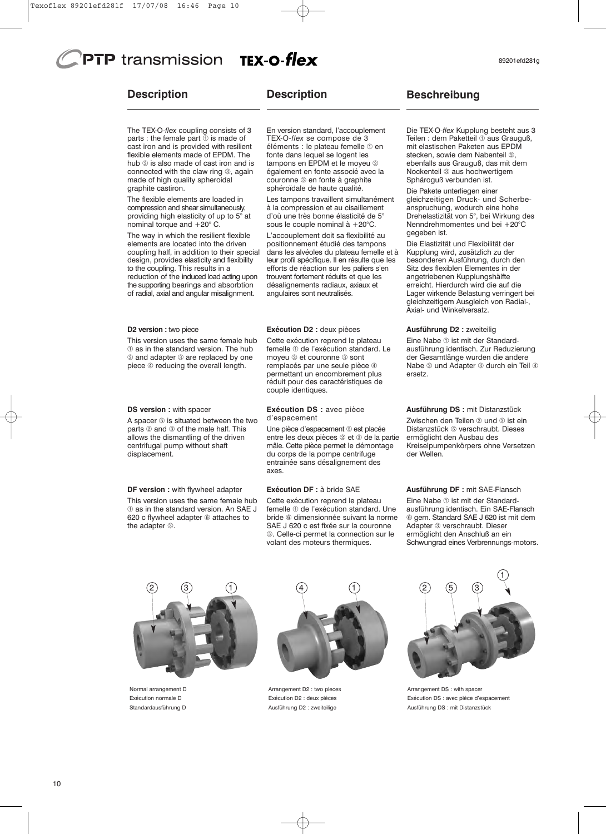# **Description**

### **Description**

The TEX-O-*flex* coupling consists of 3 parts : the female part  $\overline{①}$  is made of cast iron and is provided with resilient flexible elements made of EPDM. The hub ② is also made of cast iron and is connected with the claw ring ③, again made of high quality spheroidal graphite castiron.

The flexible elements are loaded in compression and shear simultaneously, providing high elasticity of up to 5° at nominal torque and +20° C.

The way in which the resilient flexible elements are located into the driven coupling half, in addition to their special design, provides elasticity and flexibility to the coupling. This results in a reduction of the induced load acting upon the supporting bearings and absorbtion of radial, axial and angular misalignment.

#### **D2 version :** two piece

This version uses the same female hub ➀ as in the standard version. The hub ② and adapter ③ are replaced by one piece ➃ reducing the overall length.

#### **DS version :** with spacer

A spacer ⑤ is situated between the two parts ② and ③ of the male half. This allows the dismantling of the driven centrifugal pump without shaft displacement.

#### **DF version :** with flywheel adapter

This version uses the same female hub ➀ as in the standard version. An SAE J 620 c flywheel adapter ➅ attaches to the adapter ③.

En version standard, l'accouplement TEX-O-*flex* se compose de 3 éléments : le plateau femelle <sup>1</sup> en fonte dans lequel se logent les tampons en EPDM et le moyeu ② également en fonte associé avec la couronne ③ en fonte à graphite sphéroïdale de haute qualité.

Les tampons travaillent simultanément à la compression et au cisaillement d'où une très bonne élasticité de 5° sous le couple nominal à +20°C.

L'accouplement doit sa flexibilité au positionnement étudié des tampons dans les alvéoles du plateau femelle et à leur profil spécifique. Il en résulte que les efforts de réaction sur les paliers s'en trouvent fortement réduits et que les désalignements radiaux, axiaux et angulaires sont neutralisés.

#### **Exécution D2 :** deux pièces

Cette exécution reprend le plateau femelle ➀ de l'exécution standard. Le moyeu ② et couronne ③ sont remplacés par une seule pièce  $\Phi$ permettant un encombrement plus réduit pour des caractéristiques de couple identiques.

### **Exécution DS :** avec pièce d'espacement

Une pièce d'espacement ⑤ est placée entre les deux pièces ② et ③ de la partie mâle. Cette pièce permet le démontage du corps de la pompe centrifuge entrainée sans désalignement des axes.

### **Exécution DF :** à bride SAE

Cette exécution reprend le plateau femelle ➀ de l'exécution standard. Une bride ➅ dimensionnée suivant la norme SAE J 620 c est fixée sur la couronne ③. Celle-ci permet la connection sur le volant des moteurs thermiques.

## **Beschreibung**

Die TEX-O-*flex* Kupplung besteht aus 3 Teilen : dem Paketteil <sub>3</sub> aus Grauguß, mit elastischen Paketen aus EPDM stecken, sowie dem Nabenteil ②, ebenfalls aus Grauguß, das mit dem Nockenteil ③ aus hochwertigem Sphäroguß verbunden ist.

Die Pakete unterliegen einer gleichzeitigen Druck- und Scherbeanspruchung, wodurch eine hohe Drehelastizität von 5°, bei Wirkung des Nenndrehmomentes und bei +20°C gegeben ist.

Die Elastizität und Flexibilität der Kupplung wird, zusätzlich zu der besonderen Ausführung, durch den Sitz des flexiblen Elementes in der angetriebenen Kupplungshälfte erreicht. Hierdurch wird die auf die Lager wirkende Belastung verringert bei gleichzeitigem Ausgleich von Radial-, Axial- und Winkelversatz.

### **Ausführung D2 :** zweiteilig

Eine Nabe ➀ ist mit der Standardausführung identisch. Zur Reduzierung der Gesamtlänge wurden die andere Nabe ② und Adapter ③ durch ein Teil ➃ ersetz.

#### **Ausführung DS :** mit Distanzstück

Zwischen den Teilen ② und ③ ist ein Distanzstück ⑤ verschraubt. Dieses ermöglicht den Ausbau des Kreiselpumpenkörpers ohne Versetzen der Wellen.

### **Ausführung DF :** mit SAE-Flansch

Eine Nabe ➀ ist mit der Standardausführung identisch. Ein SAE-Flansch ➅ gem. Standard SAE J 620 ist mit dem Adapter ③ verschraubt. Dieser ermöglicht den Anschluß an ein Schwungrad eines Verbrennungs-motors.



Normal arrangement D Exécution normale D Standardausführung D



Arrangement D2 : two pieces Exécution D2 : deux pièces Ausführung D2 : zweiteilige



Arrangement DS : with space Exécution DS : avec pièce d'espacement Ausführung DS : mit Distanzstück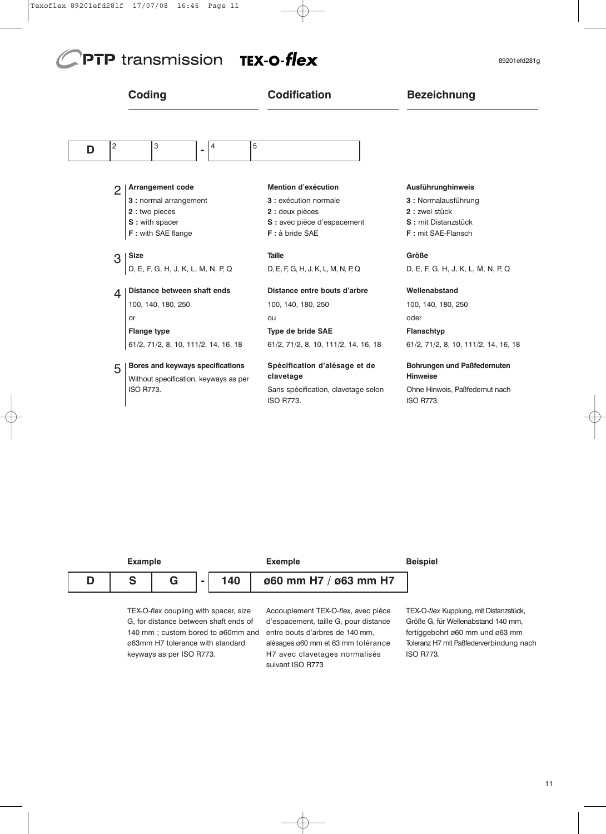# **Coding Codification Bezeichnung**



**Bores and keyways specifications** Without specification, keyways as per ISO R773. 5

- 
- **S :** avec pièce d'espacement
- 

D, E, F, G, H, J, K, L, M, N, P, Q

**Distance entre bouts d'arbre**

61/2, 71/2, 8, 10, 111/2, 14, 16, 18

**Spécification d'alésage et de clavetage**

Sans spécification, clavetage selon ISO R773.

### **Ausführunghinweis**

**3 :** Normalausführung **2 :** zwei stück **S :** mit Distanzstück **F :** mit SAE-Flansch

**Größe** D, E, F, G, H, J, K, L, M, N, P, Q

### **Wellenabstand**

oder

100, 140, 180, 250

**Flanschtyp** 61/2, 71/2, 8, 10, 111/2, 14, 16, 18

### **Bohrungen und Paßfedernuten Hinweise**

Ohne Hinweis, Paßfedernut nach ISO R773.

| <b>Example</b> |  |     | <b>Exemple</b>        | <b>Beispiel</b> |
|----------------|--|-----|-----------------------|-----------------|
|                |  | 140 | ø60 mm H7 / ø63 mm H7 |                 |
|                |  |     |                       |                 |

TEX-O-*flex* coupling with spacer, size G, for distance between shaft ends of 140 mm ; custom bored to ø60mm and ø63mm H7 tolerance with standard keyways as per ISO R773.

Accouplement TEX-O-*flex*, avec pièce d'espacement, taille G, pour distance entre bouts d'arbres de 140 mm, alésages ø60 mm et 63 mm tolérance H7 avec clavetages normalisés suivant ISO R773

TEX-O-*flex* Kupplung, mit Distanzstück, Größe G, für Wellenabstand 140 mm, fertiggebohrt ø60 mm und ø63 mm Toleranz H7 mit Paßfederverbindung nach ISO R773.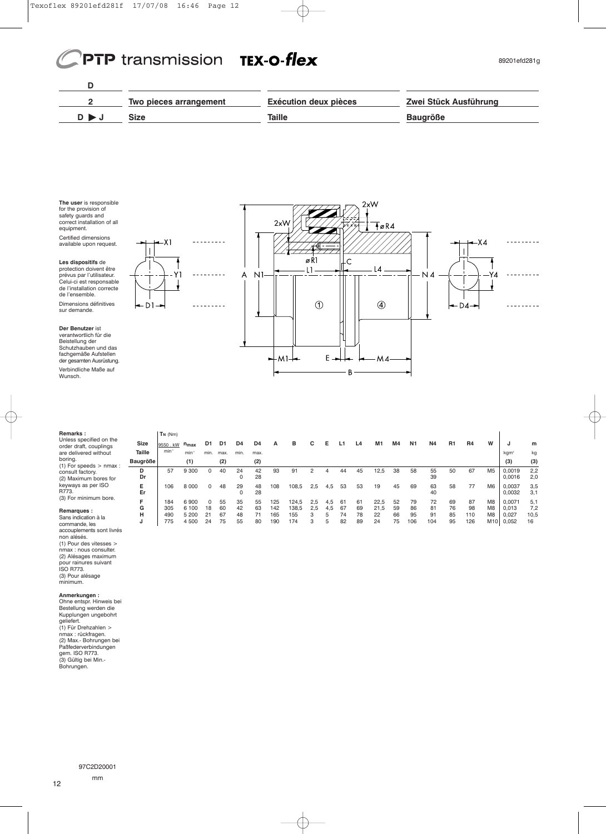

**The user** is responsible for the provision of safety guards and correct installation of all equipment. Certified dimensions available upon request.



**Der Benutzer** ist verantwortlich für die Beistellung der Schutzhauben und das fachgemäße Aufstellen der gesamten Ausrüstung. Verbindliche Maße auf Wunsch.

de l'ensemble.

sur demande.



#### **Remarks :**

| <b>Remarks:</b>                                   |          | $T_N$ ( $Nm$ )    |                   |              |      |                |                |     |       |     |     |    |    |      |    |           |           |    |     |                |                  |      |
|---------------------------------------------------|----------|-------------------|-------------------|--------------|------|----------------|----------------|-----|-------|-----|-----|----|----|------|----|-----------|-----------|----|-----|----------------|------------------|------|
| Unless specified on the<br>order draft, couplings | Size     | 9550 . kW         | $n_{max}$         | D1           | D1   | D <sub>4</sub> | D <sub>4</sub> | А   | в     | C.  | Е   |    | L4 | M1   | M4 | <b>N1</b> | <b>N4</b> | R1 | R4  | W              | u                | m    |
| are delivered without                             | Taille   | min <sup>-1</sup> | min <sup>-1</sup> | min.         | max. | min.           | max            |     |       |     |     |    |    |      |    |           |           |    |     |                | kgm <sup>2</sup> | kg   |
| boring.<br>(1) For speeds $>$ nmax :              | Baugröße |                   | (1)               |              | (2)  |                | (2)            |     |       |     |     |    |    |      |    |           |           |    |     |                | (3)              | (3)  |
| consult factory.                                  | D        | 57                | 9 3 0 0           | <sup>0</sup> | 40   | 24             | 42             | 93  | 91    |     |     | 44 | 45 | 12,5 | 38 | 58        | 55        | 50 | 67  | M <sub>5</sub> | 0.0019           | 2,2  |
| (2) Maximum bores for                             | Dr       |                   |                   |              |      | 0              | 28             |     |       |     |     |    |    |      |    |           | 39        |    |     |                | 0,0016           | 2,0  |
| keyways as per ISO                                | Е        | 106               | 8 0 0 0           | <sup>0</sup> | 48   | 29             | 48             | 108 | 108,5 | 2.5 | 4.5 | 53 | 53 | 19   | 45 | 69        | 63        | 58 | 77  | M <sub>6</sub> | 0,0037           | 3,5  |
| R773.                                             | Er       |                   |                   |              |      | 0              | 28             |     |       |     |     |    |    |      |    |           | 40        |    |     |                | 0.0032           | 3.1  |
| (3) For minimum bore.                             | F        | 184               | 6900              | 0            | 55   | 35             | 55             | 125 | 124,5 | 2.5 | 4.5 | 61 | 61 | 22,5 | 52 | 79        | 72        | 69 | 87  | M <sub>8</sub> | 0.0071           | 5,1  |
| Remarques :                                       | G        | 305               | 6 100             | 18           | 60   | 42             | 63             | 142 | 138.5 | 2.5 | 4.5 | 67 | 69 | 21.5 | 59 | 86        | 81        | 76 | 98  | M <sub>8</sub> | 0.013            | 7,2  |
| Sans indication à la                              | н        | 490               | 5 200             |              | 67   | 48             |                | 165 | 155   |     |     | 74 | 78 | 22   | 66 | 95        | 91        | 85 | 110 | M8             | 0.027            | 10,5 |
| commande, les                                     | u        | 775               | 4 500             | 24           | 75   | 55             | 80             | 190 | 174   | 3   | 5   | 82 | 89 | 24   | 75 | 106       | 104       | 95 | 126 | M10            | 0,052            | 16   |

commande, les accouplements sont livrés non alésés. (1) Pour des vitesses > nmax : nous consulter. (2) Alésages maximum pour rainures suivant ISO R773. (3) Pour alésage minimum.

**Anmerkungen :** Ohne entspr. Hinweis bei Bestellung werden die Kupplungen ungebohrt geliefert. (1) Für Drehzahlen > nmax : rückfragen. (2) Max.- Bohrungen bei Paßfederverbindungen gem. ISO R773. (3) Gültig bei Min.- Bohrungen.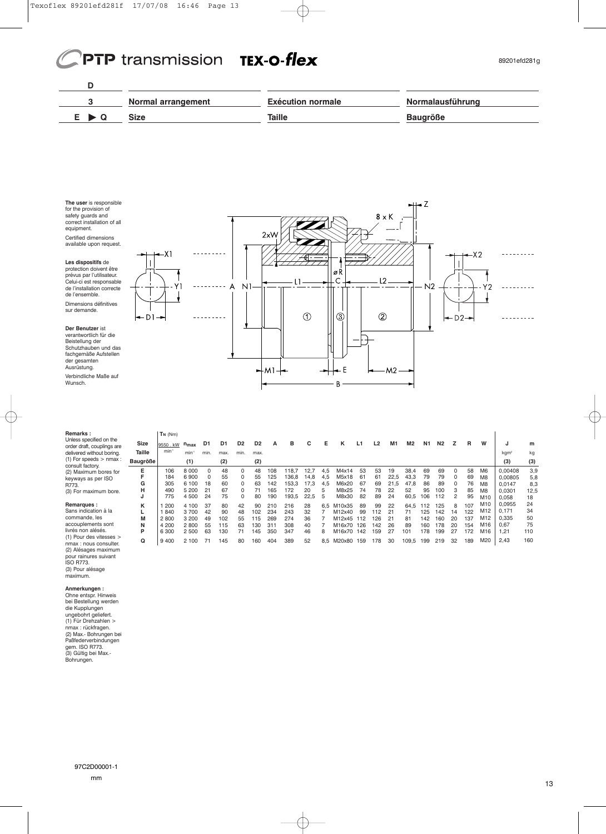



| Remarks:                                                                     |          | $T_N$ (Nm)        |           |                |      |                |                |     |       |      |     |        |     |     |      |                |           |                |    |     |                 |                  |      |
|------------------------------------------------------------------------------|----------|-------------------|-----------|----------------|------|----------------|----------------|-----|-------|------|-----|--------|-----|-----|------|----------------|-----------|----------------|----|-----|-----------------|------------------|------|
| Unless specified on the<br>order draft, couplings are                        | Size     | 9550 . kW         | $n_{max}$ | D <sub>1</sub> | D1   | D <sub>2</sub> | D <sub>2</sub> | А   | в     | с    | Е   | κ      | L1  | L2  | M1   | M <sub>2</sub> | <b>N1</b> | N <sub>2</sub> |    | R   | W               | u                | m    |
| delivered without boring.                                                    | Taille   | min <sup>-1</sup> | $min-1$   | min.           | max. | min.           | max.           |     |       |      |     |        |     |     |      |                |           |                |    |     |                 | kgm <sup>2</sup> | kg   |
| $(1)$ For speeds $>$ nmax :<br>consult factory.                              | Baugröße |                   | (1)       |                | (2)  |                | (2)            |     |       |      |     |        |     |     |      |                |           |                |    |     |                 | (3)              | (3)  |
| (2) Maximum bores for                                                        | E        | 106               | 8 0 0 0   | $\Omega$       | 48   | 0              | 48             | 108 | 118.7 | 12.7 | 4.5 | M4x14  | 53  | 53  | 19   | 38,4           | 69        | 69             | 0  | 58  | M <sub>6</sub>  | 0.00408          | 3,9  |
| keyways as per ISO                                                           |          | 184               | 6900      |                | 55   | 0              | 55             | 125 | 36.8  | 14.8 | 4.5 | M5x18  | 61  | 61  | 22.5 | 43.3           | 79        | 79             | 0  | 69  | M <sub>8</sub>  | 0.00805          | 5,8  |
| R773.                                                                        | G        | 305               | 6 100     | 18             | 60   | 0              | 63             | 142 | 153.3 | 17.3 | 4.5 | M6x20  | 67  | 69  | 21.5 | 47.8           | 86        | 89             | 0  | 76  | M <sub>8</sub>  | 0.0147           | 8,3  |
| (3) For maximum bore.                                                        | н        | 490               | 5 200     | 21             | 67   | 0              |                | 165 | 172   | 20   | 5   | M8x25  | 74  | 78  | 22   | 52             | 95        | 100            | 3  | 85  | M <sub>8</sub>  | 0.0301           | 12,5 |
|                                                                              | J        | 775               | 4500      | 24             | 75   | 0              | 80             | 190 | 193.5 | 22.5 | 5   | M8x30  | 82  | 89  | 24   | 60,5           | 106       | 112            | 2  | 95  | M10             | 0.058            | 18   |
| Remarques:                                                                   | κ        | 200               | 4 100     | -37            | 80   | 42             | 90             | 210 | 216   | 28   | 6.5 | M10x35 | 89  | 99  | 22   | 64.5           | 112       | 125            | 8  | 107 | M <sub>10</sub> | 0.0955           | 24   |
| Sans indication à la                                                         |          | 1840              | 3700      | 42             | 90   | 48             | 102            | 234 | 243   | 32   |     | M12x40 | 99  | 112 | 21   |                | 125       | 142            | 14 | 122 | M12             | 0.171            | 34   |
| commande, les                                                                | М        | 2800              | 3 200     | 49             | 102  | 55             | 115            | 269 | 274   | 36   |     | M12x45 | 112 | 126 | 21   | 81             | 142       | 160            | 20 | 137 | M12             | 0,335            | 50   |
| accouplements sont                                                           | N        | 4 200             | 2800      | 55             | 115  | 63             | 130            | 311 | 308   | 40   |     | M16x70 | 126 | 142 | 26   | 89             | 160       | 78             | 20 | 154 | M16             | 0.67             | 75   |
| livrés non alésés.                                                           | Þ        | 6 300             | 2500      | 63             | 130  | 71             | 145            | 350 | 347   | 46   | 8   | M16x70 | 142 | 159 | 27   | 101            | 178       | 199            | 27 | 172 | M16             | 1.21             | 110  |
| $(1)$ Pour des vitesses $>$<br>nmax: nous consulter.<br>(2) Alésages maximum | Q        | 9 4 0 0           | 2 100     | 71             | 145  | 80             | 160            | 404 | 389   | 52   | 8.5 | M20x80 | 159 | 178 | 30   | 109,5          | 199       | 219            | 32 | 189 | M20             | 2,43             | 160  |
|                                                                              |          |                   |           |                |      |                |                |     |       |      |     |        |     |     |      |                |           |                |    |     |                 |                  |      |

(2) Alésages maximum pour rainures suivant ISO R773. (3) Pour alésage maximum.

**Anmerkungen :**<br>Ohne entspr. Hinweis<br>bei Bestellung werden die Kupplungen ungebohrt geliefert. (1) Für Drehzahlen > nmax : rückfragen. (2) Max.- Bohrungen bei Paßfederverbindungen gem. ISO R773. (3) Gültig bei Max.- Bohrungen.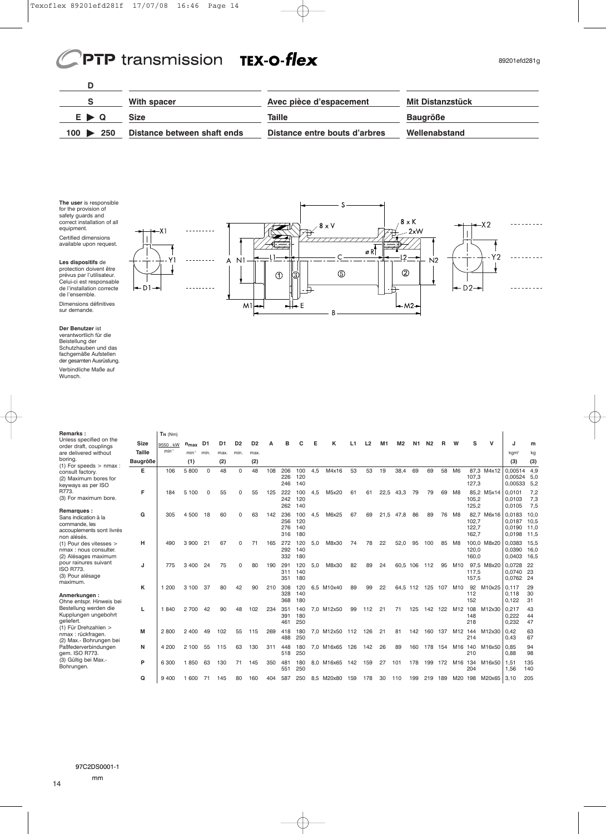<u>. . . . . . . . .</u>

<u>. . . . . . . . .</u>

 $\omega = \omega$  .

 $x_1$ 

D1

 $Y<sub>1</sub>$ 

 $-X2$ 

 $Y2$ 

 $\overline{\phantom{a}}$ 

-1

D<sub>2</sub>

<u>. . . . . . . . .</u>

. . . . . . .

178 199 172 M16 134 M16x50 1,51 135<br>204 1.56 140

199 219 189 M20 198 M20x65 3,10 205

1,56



S

 $\circledS$ 

B

 $8 \times V$ 

∙¥

₽

 $\div E$ 

Æ

L 1–

 $\odot$ 

 $N<sub>1</sub>$ 

 $M<sub>1</sub>$ 

 $\Delta$ 

 $8 \times K$ 

L2

 $^{\circ}$ 

 $-M2$ 

F

ь

 $\varnothing$  R

 $-2xW$ 

 $N<sub>2</sub>$ 

**The user** is responsible for the provision of safety guards and correct installation of all equipment. Certified dimensions available upon request.

**Les dispositifs** de protection doivent être prévus par l'utilisateur. Celui-ci est responsable de l'installation correcte de l'ensemble. Dimensions définitives sur demande.

**Der Benutzer** ist verantwortlich für die Beistellung der Schutzhauben und das fachgemäße Aufstellen der gesamten Ausrüstung.

| uui yuaamun rualustang.<br>Verbindliche Maße auf<br>Wunsch.                                      |          |                   |           |             |      |                |                |            |                          |                          |     |                      |     |                |                |                |     |           |         |                 |                         |                |                                                |                   |
|--------------------------------------------------------------------------------------------------|----------|-------------------|-----------|-------------|------|----------------|----------------|------------|--------------------------|--------------------------|-----|----------------------|-----|----------------|----------------|----------------|-----|-----------|---------|-----------------|-------------------------|----------------|------------------------------------------------|-------------------|
|                                                                                                  |          |                   |           |             |      |                |                |            |                          |                          |     |                      |     |                |                |                |     |           |         |                 |                         |                |                                                |                   |
| Remarks:<br>Unless specified on the                                                              |          | $T_N$ ( $Nm$ )    |           |             |      |                |                |            |                          |                          |     |                      |     |                |                |                |     |           |         |                 |                         |                |                                                |                   |
| order draft, couplings                                                                           | Size     | 9550 . kW         | $n_{max}$ | D1          | D1   | D <sub>2</sub> | D <sub>2</sub> |            |                          |                          | F   | κ                    | L1  | L <sub>2</sub> | M <sub>1</sub> | M <sub>2</sub> | N1  | <b>N2</b> | R       | W               | s                       | $\mathsf{v}$   | J                                              | m                 |
| are delivered without                                                                            | Taille   | min <sup>-1</sup> | $min-1$   | min.        | max. | min.           | max.           |            |                          |                          |     |                      |     |                |                |                |     |           |         |                 |                         |                | kgm <sup>2</sup>                               | kg                |
| boring.<br>$(1)$ For speeds > nmax :                                                             | Baugröße |                   | (1)       |             | (2)  |                | (2)            |            |                          |                          |     |                      |     |                |                |                |     |           |         |                 |                         |                | (3)                                            | (3)               |
| consult factory.<br>(2) Maximum bores for<br>keyways as per ISO                                  | Е        | 106               | 5 800     | $\Omega$    | 48   | $\Omega$       | 48             | 108        | 206<br>226<br>246        | 100<br>120<br>140        | 4.5 | M4x16                | 53  | 53             | 19             | 38.4           | 69  | 69        | 58      | M <sub>6</sub>  | 107,3<br>127,3          | 87,3 M4x12     | 0,00514<br>0,00524<br>0,00533                  | 4.9<br>5,0<br>5,2 |
| R773.<br>(3) For maximum bore.                                                                   | F        | 184               | 5 100     | $\mathbf 0$ | 55   | $\Omega$       | 55             | 125        | 222<br>242<br>262        | 100<br>120<br>140        | 4,5 | M5x20                | 61  | 61             | 22,5           | 43.3           | 79  | 79        | 69      | M <sub>8</sub>  | 105,2<br>125,2          | 85,2 M5x14     | 0,0101<br>0,0103<br>0,0105                     | 7,2<br>7,3<br>7,5 |
| Remarques :<br>Sans indication à la<br>commande, les<br>accouplements sont livrés<br>non alésés. | G        | 305               | 4 500     | 18          | 60   | $\Omega$       | 63             | 142        | 236<br>256<br>276<br>316 | 100<br>120<br>140<br>180 | 4.5 | M6x25                | 67  | 69             | 21,5           | 47.8           | 86  | 89        | 76      | M8              | 102,7<br>122,7<br>162.7 | 82,7 M6x16     | 0,0183<br>0,0187<br>0,0190 11,0<br>0,0198 11,5 | 10.0<br>10,5      |
| (1) Pour des vitesses ><br>nmax: nous consulter.<br>(2) Alésages maximum                         | н        | 490               | 3 9 0 0   | 21          | 67   | $\Omega$       | 71             | 165        | 272<br>292<br>332        | 120<br>140<br>180        | 5.0 | M8x30                | 74  | 78             | 22             | 52,0           | 95  | 100       | 85      | M8              | 120,0<br>160,0          | 100,0 M8x20    | 0,0383 15,5<br>0,0390<br>0,0403 16,5           | 16,0              |
| pour rainures suivant<br><b>ISO R773.</b><br>(3) Pour alésage<br>maximum.                        | J        | 775               | 3 4 0 0   | 24          | 75   | $\Omega$       | 80             | 190        | 291<br>311<br>351        | 120<br>140<br>180        | 5,0 | M8x30                | 82  | 89             | 24             | 60,5 106       |     | 112       | 95      | M <sub>10</sub> | 117,5<br>157,5          | 97,5 M8x20     | 0.0728 22<br>0,0740 23<br>0,0762 24            |                   |
| Anmerkungen:<br>Ohne entspr. Hinweis bei                                                         | κ        | 1 200             | 3 100     | 37          | 80   | 42             | 90             | 210        | 308<br>328<br>368        | 120<br>140<br>180        |     | 6,5 M10x40           | 89  | 99             | 22             | 64,5 112       |     | 125       | 107     | M10             | 92<br>112<br>152        | M10x25         | 0,117<br>0,118<br>0,122                        | 29<br>30<br>31    |
| Bestellung werden die<br>Kupplungen ungebohrt<br>geliefert.                                      | L        | 1840              | 2 700     | 42          | 90   | 48             | 102            | 234        | 351<br>391<br>461        | 140<br>180<br>250        |     | 7,0 M12x50           | 99  | 112            | 21             | 71             | 125 |           | 142 122 | M12 108         | 148<br>218              | M12x30         | 0,217<br>0,222<br>0.232                        | 43<br>44<br>47    |
| (1) Für Drehzahlen ><br>nmax : rückfragen.<br>(2) Max.- Bohrungen bei                            | М        | 2800              | 2 4 0 0   | 49          | 102  | 55             | 115            | 269        | 418<br>488               | 180<br>250               |     | 7,0 M12x50 112       |     | 126            | 21             | 81             | 142 | 160       | 137     |                 | 214                     | M12 144 M12x30 | 0,42<br>0.43                                   | 63<br>67          |
| Paßfederverbindungen<br>gem. ISO R773.<br>(3) Gültig bei Max.-                                   | N        | 4 200             | 2 100     | 55          | 115  | 63             | 130            | 311        | 448<br>518               | 180<br>250               |     | 7,0 M16x65           | 126 | 142            | 26             | 89             | 160 | 178       | 154     |                 | 210                     | M16 140 M16x50 | 0,85<br>0,88                                   | 94<br>98          |
|                                                                                                  | D        | G 200             | 950<br>1  | 62          | 120  |                | 1A5            | <b>250</b> | $A\Omega$ 1              | 190                      |     | $90$ M16 $\times$ 65 | 110 | 150            | 27             | 101            | 170 | 100       | 170     |                 |                         | M16 124 M16V50 | 1.51                                           | 125               |

**P** 6300 1850 63 130 71 145 350 481 180 8,0 M16x65 142 159 27 101

**Q** 9400 1600 71 145 80 160 404 587 250 8,5 M20x80 159 178 30 110

551 250

Bohrungen.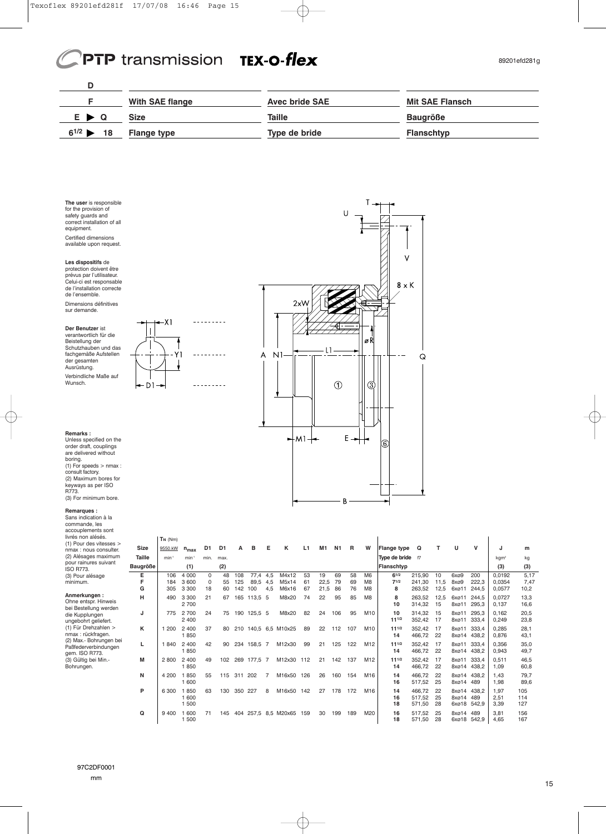-X1

D<sub>1</sub>

Y1

<u>odobodob</u>o



**The user** is responsible for the provision of safety guards and correct installation of all equipment. Certified dimensions available upon request.

**Les dispositifs** de protection doivent être

prévus par l'utilisateur. Celui-ci est responsable de l'installation correcte de l'ensemble. Dimensions définitives sur demande.

**Der Benutzer** ist verantwortlich für die Beistellung der Schutzhauben und das fachgemäße Aufstellen der gesamten Ausrüstung.

Verbindliche Maße auf Wunsch.

**Remarks :**

Unless specified on the order draft, couplings are delivered without boring.  $(1)$  For speeds > nmax : consult factory. (2) Maximum bores for keyways as per ISO R773. (3) For minimum bore.

**Remarques :**

Sans indication à la commande, les accouplements sont livrés non alésés. (1) Pour des vitesses > nmax : nous consulter. (2) Alésages maximum pour rainures suivant ISO R773. (3) Pour alésage .<br>ninimum.

**Anmerkungen :**

Ohne entspr. Hinweis bei Bestellung werden die Kupplungen ungebohrt geliefert. (1) Für Drehzahlen > nmax : rückfragen. (2) Max.- Bohrungen bei Paßfederverbindungen gem. ISO R773. (3) Gültig bei Min.- Bohrungen.



 $\mathsf{T}$ 

**TN** (Nm) **Size** 9550.kW **nmax D1 D1 A B E K L1 M1 N1 R W Flange type Q T U V** min<sup>-1</sup> min-1 min. max. **Type de bride Type de bride Baugröße (1) (2) Flanschtyp E** 106 4 000 0 48 108 77,4 4,5 M4x12 53 19 69 58 M6 **61/2** 215,90 10 6xø9 200 **F** 184 3 600 0 55 125 89,5 4,5 M5x14 61 22,5 79 69 M8 **71/2** 241,30 11,5 8xø9 222,3 **G** 305 3 300 18 60 142 100 4,5 M6x16 67 21,5 86 76 M8 **8** 263,52 12,5 6xø11 244,5 **H** | 490 3 300 21 67 165 113,5 5 M8x20 74 22 95 85 M8 | 8 263,52 12,5 6xø11 244,5 2 700 **10** 314,32 15 8xø11 295,3 **J** 775 2 700 24 75 190 125,5 5 M8x20 82 24 106 95 M10 **10** 314,32 15 8xø11 295,3 2 400 **111/2** 352,42 17 8xø11 333,4 **K** 1 200 2 400 37 80 210 140,5 6,5 M10x25 89 22 112 107 M10 **111/2** 352,42 17 8xø11 333,4 1 850 **14** 466,72 22 8xø14 438,2 **L** 1 840 2 400 42 90 234 158,5 7 M12x30 99 21 125 122 M12 **111/2** 352,42 17 8xø11 333,4 1 850 **14** 466,72 22 8xø14 438,2 **M** 2 800 2 400 49 102 269 177,5 7 M12x30 112 21 142 137 M12 **111/2** 352,42 17 8xø11 333,4 1 850 **14** 466,72 22 8xø14 438,2 **N** 4 200 1 850 55 115 311 202 7 M16x50 126 26 160 154 M16 **14** 466,72 22 8xø14 438,2 1 600 **16** 517,52 25 8xø14 489 **P** 6 300 1 850 63 130 350 227 8 M16x50 142 27 178 172 M16 **14** 466,72 22 8xø14 438,2 1 600 **16** 517,52 25 8xø14 489 1 500 **18** 571,50 28 6xø18 542,9 **Q** 9 400 1 600 71 145 404 257,5 8,5 M20x65 159 30 199 189 M20 **16** 517,52 25 8xø14 489 6xø18 542,9 **J m** kgm<sup>2</sup> kg **(3) (3)** 0,0192 5,17<br>0.0354 7.47 0,0354 7,47<br>0,0577 10,2  $0,0577$ 0,0727 13,3<br>0.137 16.6 0.137 0,162 20,5<br>0.249 23.8  $0.249$ 0,285 28,1<br>0.876 43.1 0.876 0,356 35,0 0,943 49,7 0,511 46,5<br>1,09 60,8 60,8 1,43 79,7 89.6 1,97 105 2,51 114  $3,39$ 3,81 156  $4,65$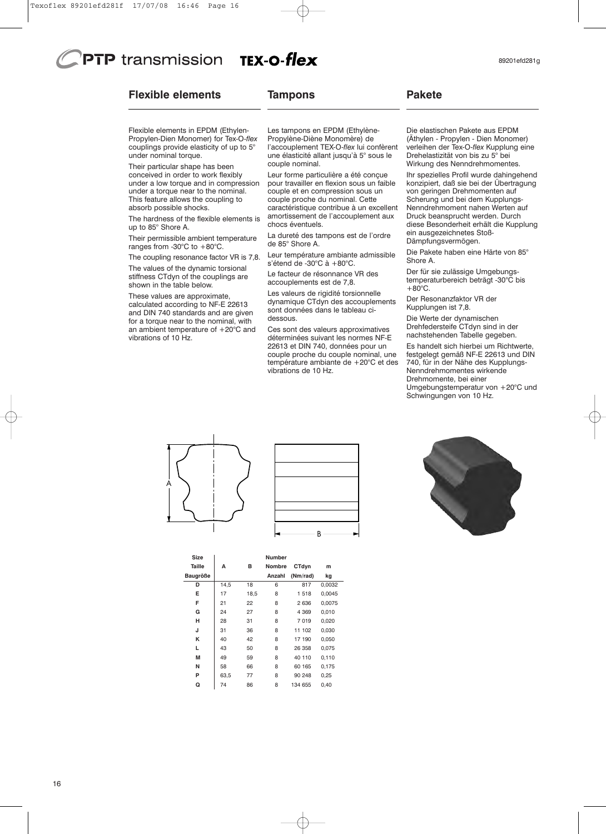# **Flexible elements**

### **Tampons**

# **Pakete**

89201efd281g

Flexible elements in EPDM (Ethylen-Propylen-Dien Monomer) for Tex-O-*flex* couplings provide elasticity of up to 5° under nominal torque.

Their particular shape has been conceived in order to work flexibly under a low torque and in compression under a torque near to the nominal. This feature allows the coupling to absorb possible shocks.

The hardness of the flexible elements is up to 85° Shore A.

Their permissible ambient temperature ranges from -30°C to +80°C.

The coupling resonance factor VR is 7,8.

The values of the dynamic torsional stiffness CTdyn of the couplings are shown in the table below.

These values are approximate, calculated according to NF-E 22613 and DIN 740 standards and are given for a torque near to the nominal, with an ambient temperature of +20°C and vibrations of 10 Hz.

Les tampons en EPDM (Ethylène-Propylène-Diène Monomère) de l'accouplement TEX-O-*flex* lui confèrent une élasticité allant jusqu'à 5° sous le couple nominal.

Leur forme particulière a été conçue pour travailler en flexion sous un faible couple et en compression sous un couple proche du nominal. Cette caractéristique contribue à un excellent amortissement de l'accouplement aux chocs éventuels.

La dureté des tampons est de l'ordre de 85° Shore A.

Leur température ambiante admissible s'étend de -30°C à +80°C.

Le facteur de résonnance VR des accouplements est de 7,8.

Les valeurs de rigidité torsionnelle dynamique CTdyn des accouplements sont données dans le tableau cidessous.

Ces sont des valeurs approximatives déterminées suivant les normes NF-E 22613 et DIN 740, données pour un couple proche du couple nominal, une température ambiante de +20°C et des vibrations de 10 Hz.

Die elastischen Pakete aus EPDM (Äthylen - Propylen - Dien Monomer) verleihen der Tex-O-*flex* Kupplung eine Drehelastizität von bis zu 5° bei Wirkung des Nenndrehmomentes. Ihr spezielles Profil wurde dahingehend konzipiert, daß sie bei der Übertragung von geringen Drehmomenten auf Scherung und bei dem Kupplungs-Nenndrehmoment nahen Werten auf Druck beansprucht werden. Durch diese Besonderheit erhält die Kupplung ein ausgezeichnetes Stoß-Dämpfungsvermögen.

Die Pakete haben eine Härte von 85° Shore A.

Der für sie zulässige Umgebungstemperaturbereich beträgt -30°C bis  $+80^{\circ}$ C.

Der Resonanzfaktor VR der Kupplungen ist 7,8.

Die Werte der dynamischen Drehfedersteife CTdyn sind in der nachstehenden Tabelle gegeben.

Es handelt sich hierbei um Richtwerte, festgelegt gemäß NF-E 22613 und DIN 740, für in der Nähe des Kupplungs-Nenndrehmomentes wirkende Drehmomente, bei einer Umgebungstemperatur von +20°C und Schwingungen von 10 Hz.







| <b>Size</b>     |      |      | <b>Number</b> |          |        |
|-----------------|------|------|---------------|----------|--------|
| Taille          | А    | в    | <b>Nombre</b> | CTdyn    | m      |
| <b>Baugröße</b> |      |      | Anzahl        | (Nm/rad) | kg     |
| D               | 14,5 | 18   | 6             | 817      | 0,0032 |
| E               | 17   | 18,5 | 8             | 1518     | 0,0045 |
| F               | 21   | 22   | 8             | 2636     | 0,0075 |
| G               | 24   | 27   | 8             | 4 3 6 9  | 0,010  |
| н               | 28   | 31   | 8             | 7019     | 0,020  |
| J               | 31   | 36   | 8             | 11 102   | 0,030  |
| κ               | 40   | 42   | 8             | 17 190   | 0,050  |
| L               | 43   | 50   | 8             | 26 358   | 0,075  |
| М               | 49   | 59   | 8             | 40 110   | 0,110  |
| N               | 58   | 66   | 8             | 60 165   | 0,175  |
| P               | 63,5 | 77   | 8             | 90 248   | 0,25   |
| Q               | 74   | 86   | 8             | 134 655  | 0,40   |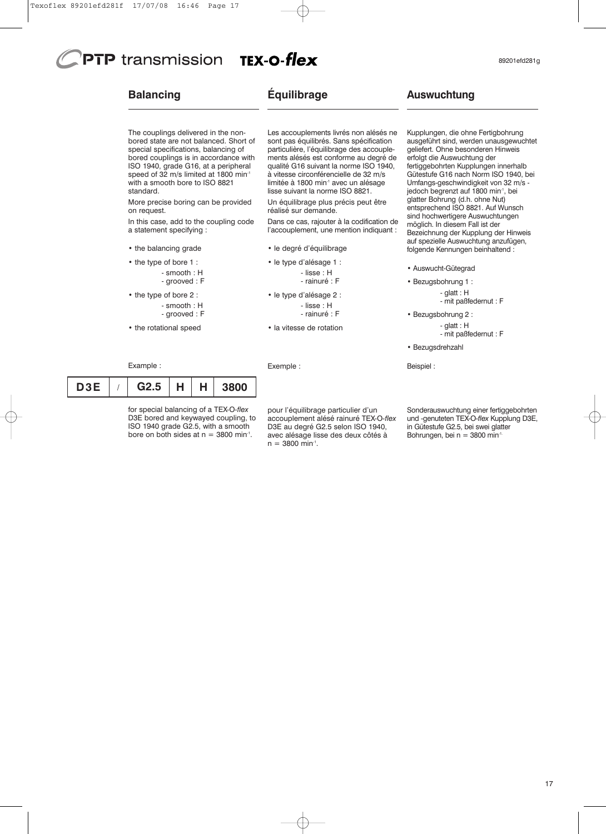The couplings delivered in the nonbored state are not balanced. Short of special specifications, balancing of bored couplings is in accordance with ISO 1940, grade G16, at a peripheral speed of 32 m/s limited at 1800 min<sup>-1</sup> with a smooth bore to ISO 8821

More precise boring can be provided

In this case, add to the coupling code

- smooth : H - grooved : F

- smooth : H - grooved : F

# **Balancing**

standard.

on request.

a statement specifying : • the balancing grade • the type of bore 1 :

• the type of bore 2 :

• the rotational speed

# **Équilibrage**

Les accouplements livrés non alésés ne sont pas équilibrés. Sans spécification particulière, l'équilibrage des accouplements alésés est conforme au degré de qualité G16 suivant la norme ISO 1940, à vitesse circonférencielle de 32 m/s limitée à 1800 min<sup>1</sup> avec un alésage lisse suivant la norme ISO 8821.

Un équilibrage plus précis peut être réalisé sur demande.

Dans ce cas, rajouter à la codification de l'accouplement, une mention indiquant :

- le degré d'équilibrage
- le type d'alésage 1 :
	- lisse : H
	- rainuré : F
- le type d'alésage 2 :
	- lisse : H - rainuré : F
	-
- la vitesse de rotation

Exemple :

|     | $-$                   |  |  |  |  |
|-----|-----------------------|--|--|--|--|
| D3E | $G2.5$   H   H   3800 |  |  |  |  |
|     |                       |  |  |  |  |

Example :

for special balancing of a TEX-O*-flex*  D3E bored and keywayed coupling, to ISO 1940 grade G2.5, with a smooth bore on both sides at  $n = 3800$  min<sup>-1</sup>.

pour l'équilibrage particulier d'un accouplement alésé rainuré TEX-O*-flex*  D3E au degré G2.5 selon ISO 1940, avec alésage lisse des deux côtés à  $n = 3800$  min<sup>-1</sup>.

Sonderauswuchtung einer fertiggebohrten und -genuteten TEX-O*-flex* Kupplung D3E, in Gütestufe G2.5, bei swei glatter Bohrungen, bei n = 3800 min<sup>1</sup>

Kupplungen, die ohne Fertigbohrung ausgeführt sind, werden unausgewuchtet geliefert. Ohne besonderen Hinweis erfolgt die Auswuchtung der fertiggebohrten Kupplungen innerhalb Gütestufe G16 nach Norm ISO 1940, bei Umfangs-geschwindigkeit von 32 m/s jedoch begrenzt auf 1800 min<sup>-1</sup>, bei glatter Bohrung (d.h. ohne Nut) entsprechend ISO 8821. Auf Wunsch sind hochwertigere Auswuchtungen möglich. In diesem Fall ist der Bezeichnung der Kupplung der Hinweis auf spezielle Auswuchtung anzufügen, folgende Kennungen beinhaltend :

• Auswucht-Gütegrad

**Auswuchtung**

- Bezugsbohrung 1 : - glatt : H - mit paßfedernut : F
- Bezugsbohrung 2 : - glatt : H - mit paßfedernut : F
- Bezugsdrehzahl

Beispiel :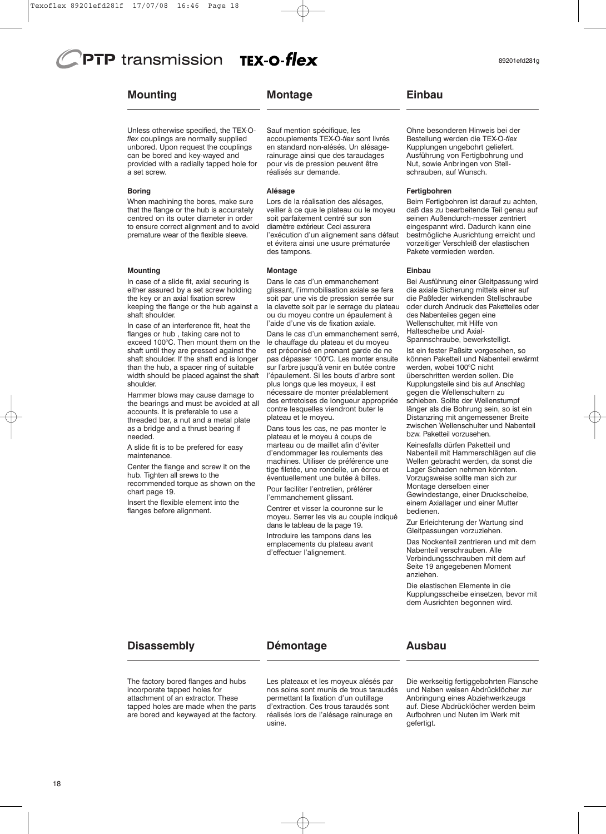# **Mounting**

Unless otherwise specified, the TEX-O*flex* couplings are normally supplied unbored. Upon request the couplings can be bored and key-wayed and provided with a radially tapped hole for a set screw.

### **Boring**

When machining the bores, make sure that the flange or the hub is accurately centred on its outer diameter in order to ensure correct alignment and to avoid premature wear of the flexible sleeve.

#### **Mounting**

In case of a slide fit, axial securing is either assured by a set screw holding the key or an axial fixation screw keeping the flange or the hub against a shaft shoulder.

In case of an interference fit, heat the flanges or hub , taking care not to exceed 100°C. Then mount them on the shaft until they are pressed against the shaft shoulder. If the shaft end is longer than the hub, a spacer ring of suitable width should be placed against the shaft shoulder.

Hammer blows may cause damage to the bearings and must be avoided at all accounts. It is preferable to use a threaded bar, a nut and a metal plate as a bridge and a thrust bearing if needed.

A slide fit is to be prefered for easy maintenance.

Center the flange and screw it on the hub. Tighten all srews to the recommended torque as shown on the chart page 19.

Insert the flexible element into the flanges before alignment.

**Montage** 

Sauf mention spécifique, les accouplements TEX-O-*flex* sont livrés en standard non-alésés. Un alésagerainurage ainsi que des taraudages pour vis de pression peuvent être réalisés sur demande.

#### **Alésage**

Lors de la réalisation des alésages, veiller à ce que le plateau ou le moyeu soit parfaitement centré sur son diamètre extérieur. Ceci assurera l'exécution d'un alignement sans défaut et évitera ainsi une usure prématurée des tampons.

#### **Montage**

Dans le cas d'un emmanchement glissant, l'immobilisation axiale se fera soit par une vis de pression serrée sur la clavette soit par le serrage du plateau ou du moyeu contre un épaulement à l'aide d'une vis de fixation axiale.

Dans le cas d'un emmanchement serré, le chauffage du plateau et du moyeu est préconisé en prenant garde de ne pas dépasser 100°C. Les monter ensuite sur l'arbre jusqu'à venir en butée contre l'épaulement. Si les bouts d'arbre sont plus longs que les moyeux, il est nécessaire de monter préalablement des entretoises de longueur appropriée contre lesquelles viendront buter le plateau et le moyeu.

Dans tous les cas, ne pas monter le plateau et le moyeu à coups de marteau ou de maillet afin d'éviter d'endommager les roulements des machines. Utiliser de préférence une tige filetée, une rondelle, un écrou et éventuellement une butée à billes.

Pour faciliter l'entretien, préférer l'emmanchement glissant.

Centrer et visser la couronne sur le moyeu. Serrer les vis au couple indiqué dans le tableau de la page 19.

Introduire les tampons dans les emplacements du plateau avant d'effectuer l'alignement.

## **Einbau**

Ohne besonderen Hinweis bei der Bestellung werden die TEX-O-*flex* Kupplungen ungebohrt geliefert. Ausführung von Fertigbohrung und Nut, sowie Anbringen von Stellschrauben, auf Wunsch.

#### **Fertigbohren**

Beim Fertigbohren ist darauf zu achten, daß das zu bearbeitende Teil genau auf seinen Außendurch-messer zentriert eingespannt wird. Dadurch kann eine bestmögliche Ausrichtung erreicht und vorzeitiger Verschleiß der elastischen Pakete vermieden werden.

### **Einbau**

Bei Ausführung einer Gleitpassung wird die axiale Sicherung mittels einer auf die Paßfeder wirkenden Stellschraube oder durch Andruck des Paketteiles oder des Nabenteiles gegen eine Wellenschulter, mit Hilfe von Haltescheibe und Axial-Spannschraube, bewerkstelligt.

Ist ein fester Paßsitz vorgesehen, so können Paketteil und Nabenteil erwärmt werden, wobei 100°C nicht überschritten werden sollen. Die Kupplungsteile sind bis auf Anschlag gegen die Wellenschultern zu schieben. Sollte der Wellenstumpf länger als die Bohrung sein, so ist ein Distanzring mit angemessener Breite zwischen Wellenschulter und Nabenteil bzw. Paketteil vorzusehen.

Keinesfalls dürfen Paketteil und Nabenteil mit Hammerschlägen auf die Wellen gebracht werden, da sonst die Lager Schaden nehmen könnten. Vorzugsweise sollte man sich zur Montage derselben einer Gewindestange, einer Druckscheibe, einem Axiallager und einer Mutter bedienen.

Zur Erleichterung der Wartung sind Gleitpassungen vorzuziehen.

Das Nockenteil zentrieren und mit dem Nabenteil verschrauben. Alle Verbindungsschrauben mit dem auf Seite 19 angegebenen Moment anziehen.

Die elastischen Elemente in die Kupplungsscheibe einsetzen, bevor mit dem Ausrichten begonnen wird.

# **Disassembly**

# **Démontage**

The factory bored flanges and hubs incorporate tapped holes for attachment of an extractor. These tapped holes are made when the parts are bored and keywayed at the factory. Les plateaux et les moyeux alésés par nos soins sont munis de trous taraudés permettant la fixation d'un outillage d'extraction. Ces trous taraudés sont réalisés lors de l'alésage rainurage en usine.

# **Ausbau**

Die werkseitig fertiggebohrten Flansche und Naben weisen Abdrücklöcher zur Anbringung eines Abziehwerkzeugs auf. Diese Abdrücklöcher werden beim Aufbohren und Nuten im Werk mit gefertigt.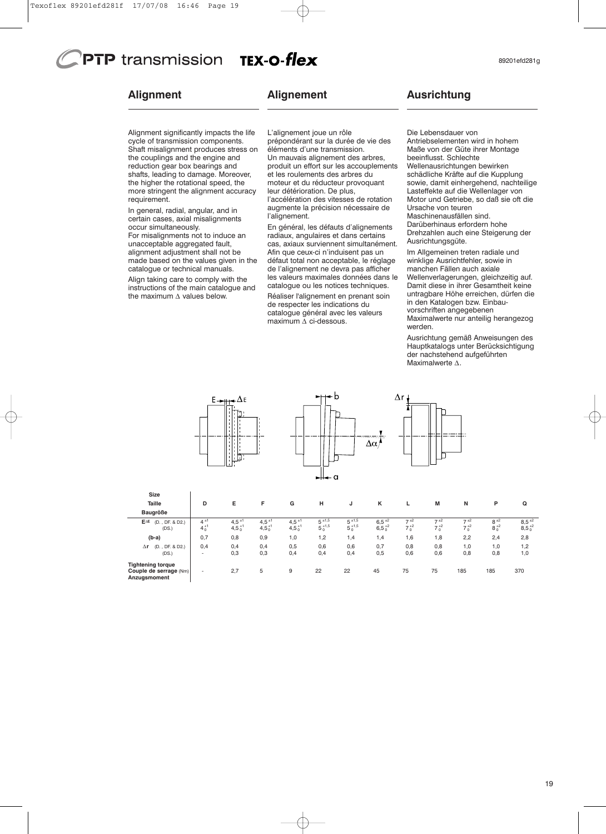# **Alignment**

### **Alignement**

# **Ausrichtung**

Alignment significantly impacts the life cycle of transmission components. Shaft misalignment produces stress on the couplings and the engine and reduction gear box bearings and shafts, leading to damage. Moreover, the higher the rotational speed, the more stringent the alignment accuracy requirement.

In general, radial, angular, and in certain cases, axial misalignments occur simultaneously. For misalignments not to induce an unacceptable aggregated fault, alignment adjustment shall not be made based on the values given in the catalogue or technical manuals.

Align taking care to comply with the instructions of the main catalogue and the maximum ∆ values below.

L'alignement joue un rôle prépondérant sur la durée de vie des éléments d'une transmission. Un mauvais alignement des arbres, produit un effort sur les accouplements et les roulements des arbres du moteur et du réducteur provoquant leur détérioration. De plus, l'accélération des vitesses de rotation augmente la précision nécessaire de l'alignement.

En général, les défauts d'alignements radiaux, angulaires et dans certains cas, axiaux surviennent simultanément. Afin que ceux-ci n'induisent pas un défaut total non acceptable, le réglage de l'alignement ne devra pas afficher les valeurs maximales données dans le catalogue ou les notices techniques.

Réaliser l'alignement en prenant soin de respecter les indications du catalogue général avec les valeurs maximum ∆ ci-dessous.

### Die Lebensdauer von

Antriebselementen wird in hohem Maße von der Güte ihrer Montage beeinflusst. Schlechte Wellenausrichtungen bewirken schädliche Kräfte auf die Kupplung sowie, damit einhergehend, nachteilige Lasteffekte auf die Wellenlager von Motor und Getriebe, so daß sie oft die Ursache von teuren

Maschinenausfällen sind.

Darüberhinaus erfordern hohe Drehzahlen auch eine Steigerung der Ausrichtungsgüte.

Im Allgemeinen treten radiale und winklige Ausrichtfehler, sowie in manchen Fällen auch axiale Wellenverlagerungen, gleichzeitig auf. Damit diese in ihrer Gesamtheit keine untragbare Höhe erreichen, dürfen die in den Katalogen bzw. Einbauvorschriften angegebenen Maximalwerte nur anteilig herangezog werden.

Ausrichtung gemäß Anweisungen des Hauptkatalogs unter Berücksichtigung der nachstehend aufgeführten Maximalwerte ∆.



| Size                                                               |                                 |                                |                                |                             |                             |                             |                            |                          |                      |                      |                         |                             |
|--------------------------------------------------------------------|---------------------------------|--------------------------------|--------------------------------|-----------------------------|-----------------------------|-----------------------------|----------------------------|--------------------------|----------------------|----------------------|-------------------------|-----------------------------|
| <b>Taille</b>                                                      | D                               | Е                              | F                              | G                           | н                           | J                           | к                          |                          | M                    | N                    | P                       | Q                           |
| Baugröße                                                           |                                 |                                |                                |                             |                             |                             |                            |                          |                      |                      |                         |                             |
| EAE<br>(D., DF. & D2.)<br>(DS.)                                    | $4^{+1}$<br>$4^{+1}_{0}$        | $4,5^{\pm1}$<br>$4,5^{+1}_{0}$ | $4,5^{\pm1}$<br>$4,5^{+1}_{0}$ | $4.5 + 1$<br>$4,5^{+1}_{0}$ | $5 + 1.5$<br>$5^{+1,5}_{0}$ | $5 + 1.5$<br>$5^{+1,5}_{0}$ | $6.5 +2$<br>$6,5^{+2}_{0}$ | $7^{+2}$<br>$7^{+2}_{0}$ | 7 ±2<br>$7^{+2}_{0}$ | 7 ±2<br>$7^{+2}_{0}$ | $8 + 2$<br>$8^{+2}_{0}$ | $8,5^{2}$<br>$8,5^{+2}_{0}$ |
| $(b-a)$                                                            | 0,7                             | 0,8                            | 0,9                            | 1,0                         | 1,2                         | 1,4                         | 1,4                        | 1,6                      | 1,8                  | 2,2                  | 2,4                     | 2,8                         |
| (D., DF. & D2.)<br>$\Delta r$<br>(DS.)                             | 0,4<br>$\overline{\phantom{a}}$ | 0,4<br>0,3                     | 0,4<br>0,3                     | 0,5<br>0,4                  | 0,6<br>0,4                  | 0,6<br>0,4                  | 0,7<br>0,5                 | 0,8<br>0,6               | 0,8<br>0,6           | 1,0<br>0,8           | 1,0<br>0,8              | 1,2<br>1,0                  |
| <b>Tightening torque</b><br>Couple de serrage (Nm)<br>Anzugsmoment | $\overline{\phantom{a}}$        | 2,7                            | 5                              | 9                           | 22                          | 22                          | 45                         | 75                       | 75                   | 185                  | 185                     | 370                         |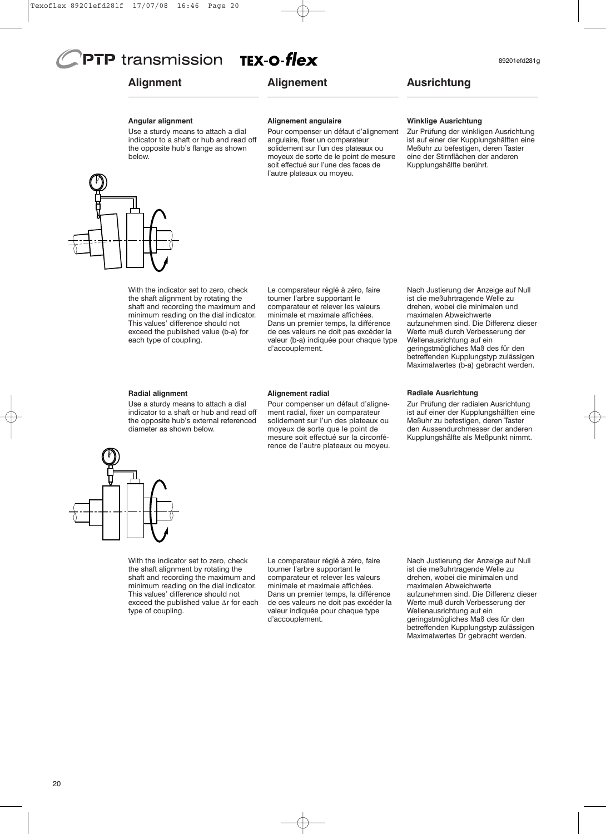# **Alignment**

# **Alignement**

# **Ausrichtung**

### **Angular alignment**

Use a sturdy means to attach a dial indicator to a shaft or hub and read off the opposite hub's flange as shown below.



### **Alignement angulaire**

Pour compenser un défaut d'alignement angulaire, fixer un comparateur solidement sur l'un des plateaux ou moyeux de sorte de le point de mesure soit effectué sur l'une des faces de l'autre plateaux ou moyeu.

#### **Winklige Ausrichtung**

Zur Prüfung der winkligen Ausrichtung ist auf einer der Kupplungshälften eine Meßuhr zu befestigen, deren Taster eine der Stirnflächen der anderen Kupplungshälfte berührt.

With the indicator set to zero, check the shaft alignment by rotating the shaft and recording the maximum and minimum reading on the dial indicator. This values' difference should not exceed the published value (b-a) for each type of coupling.

Le comparateur réglé à zéro, faire tourner l'arbre supportant le comparateur et relever les valeurs minimale et maximale affichées. Dans un premier temps, la différence de ces valeurs ne doit pas excéder la valeur (b-a) indiquée pour chaque type d'accouplement.

### **Radial alignment**

Use a sturdy means to attach a dial indicator to a shaft or hub and read off the opposite hub's external referenced diameter as shown below.

### **Alignement radial**

Pour compenser un défaut d'alignement radial, fixer un comparateur solidement sur l'un des plateaux ou moyeux de sorte que le point de mesure soit effectué sur la circonférence de l'autre plateaux ou moyeu. Nach Justierung der Anzeige auf Null ist die meßuhrtragende Welle zu drehen, wobei die minimalen und maximalen Abweichwerte aufzunehmen sind. Die Differenz dieser Werte muß durch Verbesserung der Wellenausrichtung auf ein geringstmögliches Maß des für den betreffenden Kupplungstyp zulässigen Maximalwertes (b-a) gebracht werden.

### **Radiale Ausrichtung**

Zur Prüfung der radialen Ausrichtung ist auf einer der Kupplungshälften eine Meßuhr zu befestigen, deren Taster den Aussendurchmesser der anderen Kupplungshälfte als Meßpunkt nimmt.



With the indicator set to zero, check the shaft alignment by rotating the shaft and recording the maximum and minimum reading on the dial indicator. This values' difference should not exceed the published value ∆r for each type of coupling.

Le comparateur réglé à zéro, faire tourner l'arbre supportant le comparateur et relever les valeurs minimale et maximale affichées. Dans un premier temps, la différence de ces valeurs ne doit pas excéder la valeur indiquée pour chaque type d'accouplement.

Nach Justierung der Anzeige auf Null ist die meßuhrtragende Welle zu drehen, wobei die minimalen und maximalen Abweichwerte aufzunehmen sind. Die Differenz dieser Werte muß durch Verbesserung der Wellenausrichtung auf ein geringstmögliches Maß des für den betreffenden Kupplungstyp zulässigen Maximalwertes Dr gebracht werden.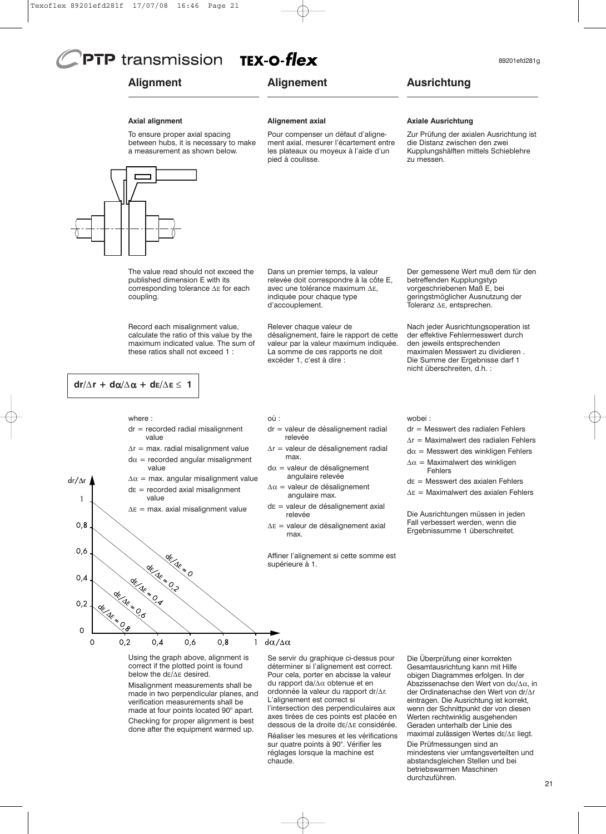# **Alignment**

# **Alignement**

# **Ausrichtung**

**Axiale Ausrichtung**

zu messen.

#### **Axial alignment**

To ensure proper axial spacing between hubs, it is necessary to make a measurement as shown below.



The value read should not exceed the published dimension E with its corresponding tolerance ∆E for each coupling.

Record each misalignment value, calculate the ratio of this value by the maximum indicated value. The sum of these ratios shall not exceed 1 :

 $dr =$  recorded radial misalignment

∆r = max. radial misalignment value  $d\alpha$  = recorded angular misalignment

 $\Delta \alpha$  = max. angular misalignment value  $dE$  = recorded axial misalignment

∆E = max. axial misalignment value

$$
dr/\Delta r + d\alpha/\Delta \alpha + d\epsilon/\Delta \epsilon \leq 1
$$

 $dr/\Delta r$ 

 $\mathbf{1}$ 

 $0,8$ 

 $0,6$ 

 $0,4$ 

 $0,2$ 

 $\Omega$  $\Omega$ 

where :

value

value

value

index of

 $0,4$ 

**E** 

 $0.2$ 

où :

 $d\alpha/\Delta\alpha$ 

- dr = valeur de désalignement radial relevée
- ∆r = valeur de désalignement radial max.
- $d\alpha$  = valeur de désalignement angulaire relevée
- $Δα =$  valeur de désalignement angulaire max.
- $dE$  = valeur de désalignement axial relevée
- ∆E = valeur de désalignement axial max.

Affiner l'alignement si cette somme est supérieure à 1.

Der gemessene Wert muß dem für den betreffenden Kupplungstyp vorgeschriebenen Maß E, bei geringstmöglicher Ausnutzung der Toleranz ∆E, entsprechen.

Zur Prüfung der axialen Ausrichtung ist die Distanz zwischen den zwei Kupplungshälften mittels Schieblehre

Nach jeder Ausrichtungsoperation ist der effektive Fehlermesswert durch den jeweils entsprechenden maximalen Messwert zu dividieren . Die Summe der Ergebnisse darf 1 nicht überschreiten, d.h. :

### wobei :

- dr = Messwert des radialen Fehlers
- ∆r = Maximalwert des radialen Fehlers
- $d\alpha$  = Messwert des winkligen Fehlers
- $\Delta \alpha$  = Maximalwert des winkligen Fehlers
- dE = Messwert des axialen Fehlers
- ∆E = Maximalwert des axialen Fehlers

Die Ausrichtungen müssen in jeden Fall verbessert werden, wenn die Ergebnissumme 1 überschreitet.

Using the graph above, alignment is correct if the plotted point is found below the dE/∆E desired.

 $0,6$ 

 $0,8$ 

Misalignment measurements shall be made in two perpendicular planes, and verification measurements shall be made at four points located 90° apart. Checking for proper alignment is best done after the equipment warmed up.

Se servir du graphique ci-dessus pour déterminer si l'alignement est correct. Pour cela, porter en abcisse la valeur du rapport da/∆α obtenue et en

ordonnée la valeur du rapport dr/∆r. L'alignement est correct si l'intersection des perpendiculaires aux

axes tirées de ces points est placée en dessous de la droite dE/∆E considérée.

Réaliser les mesures et les vérifications sur quatre points à 90°. Vérifier les réglages lorsque la machine est chaude.

Die Überprüfung einer korrekten Gesamtausrichtung kann mit Hilfe obigen Diagrammes erfolgen. In der Abszissenachse den Wert von dα/∆α, in der Ordinatenachse den Wert von dr/∆r eintragen. Die Ausrichtung ist korrekt, wenn der Schnittpunkt der von diesen Werten rechtwinklig ausgehenden Geraden unterhalb der Linie des maximal zulässigen Wertes dE/∆E liegt. Die Prüfmessungen sind an mindestens vier umfangsverteilten und abstandsgleichen Stellen und bei

betriebswarmen Maschinen durchzuführen.

**Alignement axial**

pied à coulisse.

d'accouplement.

Relever chaque valeur de

excéder 1, c'est à dire :

Pour compenser un défaut d'alignement axial, mesurer l'écartement entre les plateaux ou moyeux à l'aide d'un

Dans un premier temps, la valeur relevée doit correspondre à la côte E, avec une tolérance maximum ∆E, indiquée pour chaque type

désalignement, faire le rapport de cette valeur par la valeur maximum indiquée. La somme de ces rapports ne doit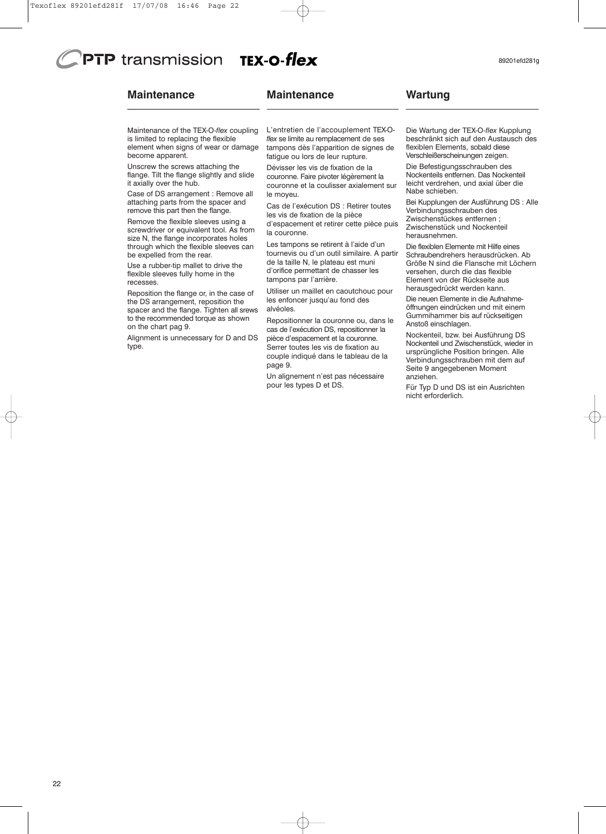### **Maintenance**

# **Wartung**

Maintenance of the TEX-O-*flex* coupling is limited to replacing the flexible element when signs of wear or damage become apparent.

Unscrew the screws attaching the flange. Tilt the flange slightly and slide it axially over the hub.

Case of DS arrangement : Remove all attaching parts from the spacer and remove this part then the flange.

Remove the flexible sleeves using a screwdriver or equivalent tool. As from size N, the flange incorporates holes through which the flexible sleeves can be expelled from the rear.

Use a rubber-tip mallet to drive the flexible sleeves fully home in the recesses.

Reposition the flange or, in the case of the DS arrangement, reposition the spacer and the flange. Tighten all srews to the recommended torque as shown on the chart pag 9.

Alignment is unnecessary for D and DS type.

L'entretien de l'accouplement TEX-O*flex* se limite au remplacement de ses tampons dès l'apparition de signes de fatigue ou lors de leur rupture.

Dévisser les vis de fixation de la couronne. Faire pivoter légèrement la couronne et la coulisser axialement sur le moyeu.

Cas de l'exécution DS : Retirer toutes les vis de fixation de la pièce d'espacement et retirer cette pièce puis la couronne.

Les tampons se retirent à l'aide d'un tournevis ou d'un outil similaire. A partir de la taille N, le plateau est muni d'orifice permettant de chasser les tampons par l'arrière.

Utiliser un maillet en caoutchouc pour les enfoncer jusqu'au fond des alvéoles.

Repositionner la couronne ou, dans le cas de l'exécution DS, repositionner la pièce d'espacement et la couronne. Serrer toutes les vis de fixation au couple indiqué dans le tableau de la page 9.

Un alignement n'est pas nécessaire pour les types D et DS.

Die Wartung der TEX-O-*flex* Kupplung beschränkt sich auf den Austausch des flexiblen Elements, sobald diese Verschleißerscheinungen zeigen.

Die Befestigungsschrauben des Nockenteils entfernen. Das Nockenteil leicht verdrehen, und axial über die Nabe schieben.

Bei Kupplungen der Ausführung DS : Alle Verbindungsschrauben des Zwischenstückes entfernen ; Zwischenstück und Nockenteil herausnehmen.

Die flexiblen Elemente mit Hilfe eines Schraubendrehers herausdrücken. Ab Größe N sind die Flansche mit Löchern versehen, durch die das flexible Element von der Rückseite aus herausgedrückt werden kann.

Die neuen Elemente in die Aufnahmeöffnungen eindrücken und mit einem Gummihammer bis auf rückseitigen Anstoß einschlagen.

Nockenteil, bzw. bei Ausführung DS Nockenteil und Zwischenstück, wieder in ursprüngliche Position bringen. Alle Verbindungsschrauben mit dem auf Seite 9 angegebenen Moment anziehen.

Für Typ D und DS ist ein Ausrichten nicht erforderlich.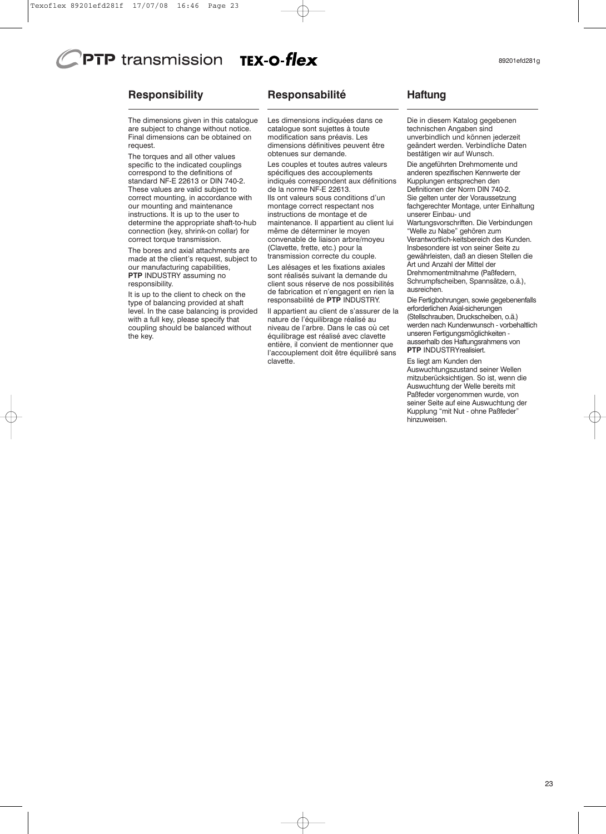# **Responsibility**

### **Responsabilité**

The dimensions given in this catalogue are subject to change without notice. Final dimensions can be obtained on request.

The torques and all other values specific to the indicated couplings correspond to the definitions of standard NF-E 22613 or DIN 740-2. These values are valid subject to correct mounting, in accordance with our mounting and maintenance instructions. It is up to the user to determine the appropriate shaft-to-hub connection (key, shrink-on collar) for correct torque transmission.

The bores and axial attachments are made at the client's request, subject to our manufacturing capabilities, **PTP** INDUSTRY assuming no responsibility.

It is up to the client to check on the type of balancing provided at shaft level. In the case balancing is provided with a full key, please specify that coupling should be balanced without the key.

Les dimensions indiquées dans ce catalogue sont sujettes à toute modification sans préavis. Les dimensions définitives peuvent être obtenues sur demande.

Les couples et toutes autres valeurs spécifiques des accouplements indiqués correspondent aux définitions de la norme NF-E 22613. Ils ont valeurs sous conditions d'un montage correct respectant nos instructions de montage et de maintenance. Il appartient au client lui même de déterminer le moyen convenable de liaison arbre/moyeu (Clavette, frette, etc.) pour la transmission correcte du couple. Les alésages et les fixations axiales sont réalisés suivant la demande du client sous réserve de nos possibilités de fabrication et n'engagent en rien la

responsabilité de **PTP** INDUSTRY. Il appartient au client de s'assurer de la nature de l'équilibrage réalisé au niveau de l'arbre. Dans le cas où cet équilibrage est réalisé avec clavette entière, il convient de mentionner que l'accouplement doit être équilibré sans clavette.

## **Haftung**

Die in diesem Katalog gegebenen technischen Angaben sind unverbindlich und können jederzeit geändert werden. Verbindliche Daten bestätigen wir auf Wunsch.

Die angeführten Drehmomente und anderen spezifischen Kennwerte der Kupplungen entsprechen den Definitionen der Norm DIN 740-2. Sie gelten unter der Voraussetzung fachgerechter Montage, unter Einhaltung unserer Einbau- und

Wartungsvorschriften. Die Verbindungen "Welle zu Nabe" gehören zum Verantwortlich-keitsbereich des Kunden. Insbesondere ist von seiner Seite zu gewährleisten, daß an diesen Stellen die Art und Anzahl der Mittel der Drehmomentmitnahme (Paßfedern, Schrumpfscheiben, Spannsätze, o.ä.), ausreichen.

Die Fertigbohrungen, sowie gegebenenfalls erforderlichen Axial-sicherungen (Stellschrauben, Druckscheiben, o.ä.) werden nach Kundenwunsch - vorbehaltlich unseren Fertigungsmöglichkeiten ausserhalb des Haftungsrahmens von **PTP** INDUSTRYrealisiert.

Es liegt am Kunden den Auswuchtungszustand seiner Wellen mitzuberücksichtigen. So ist, wenn die Auswuchtung der Welle bereits mit Paßfeder vorgenommen wurde, von seiner Seite auf eine Auswuchtung der Kupplung "mit Nut - ohne Paßfeder" hinzuweisen.